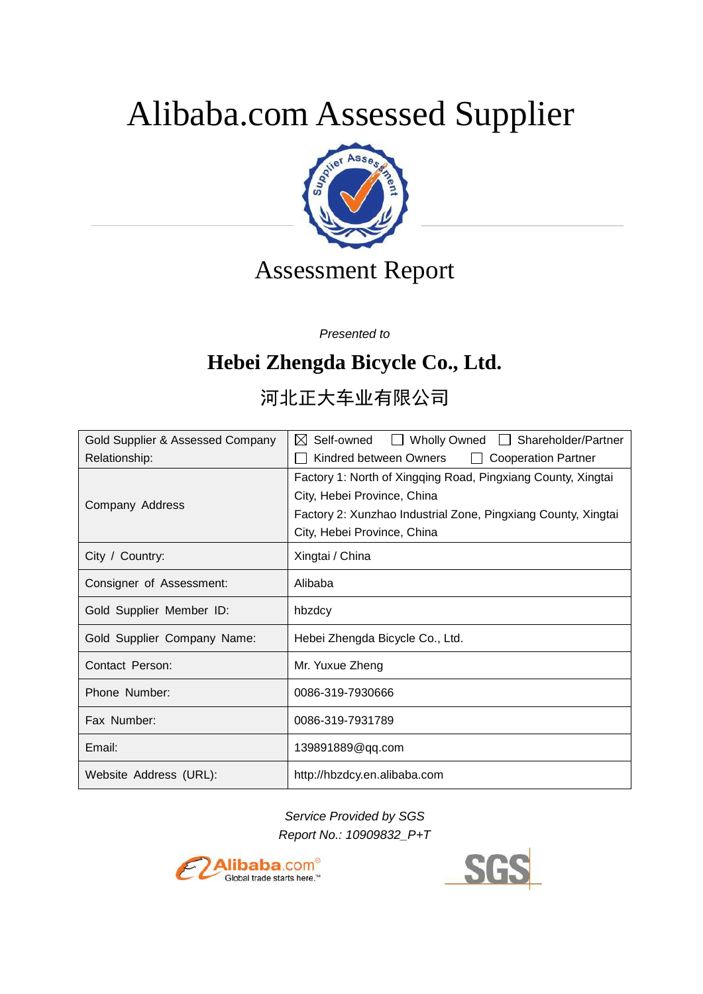# Alibaba.com Assessed Supplier



# Assessment Report

*Presented to*

# **Hebei Zhengda Bicycle Co., Ltd.**

# 河北正大车业有限公司

| Gold Supplier & Assessed Company | Wholly Owned Shareholder/Partner<br>$\bowtie$ Self-owned<br>$\mathbf{L}$ |
|----------------------------------|--------------------------------------------------------------------------|
| Relationship:                    | Kindred between Owners<br><b>Cooperation Partner</b><br>$\perp$          |
|                                  | Factory 1: North of Xingqing Road, Pingxiang County, Xingtai             |
| Company Address                  | City, Hebei Province, China                                              |
|                                  | Factory 2: Xunzhao Industrial Zone, Pingxiang County, Xingtai            |
|                                  | City, Hebei Province, China                                              |
| City / Country:                  | Xingtai / China                                                          |
| Consigner of Assessment:         | Alibaba                                                                  |
| Gold Supplier Member ID:         | hbzdcy                                                                   |
| Gold Supplier Company Name:      | Hebei Zhengda Bicycle Co., Ltd.                                          |
| Contact Person:                  | Mr. Yuxue Zheng                                                          |
| Phone Number:                    | 0086-319-7930666                                                         |
| Fax Number:                      | 0086-319-7931789                                                         |
| Email:                           | 139891889@qq.com                                                         |
| Website Address (URL):           | http://hbzdcy.en.alibaba.com                                             |

*Service Provided by SGS Report No.: 10909832\_P+T*



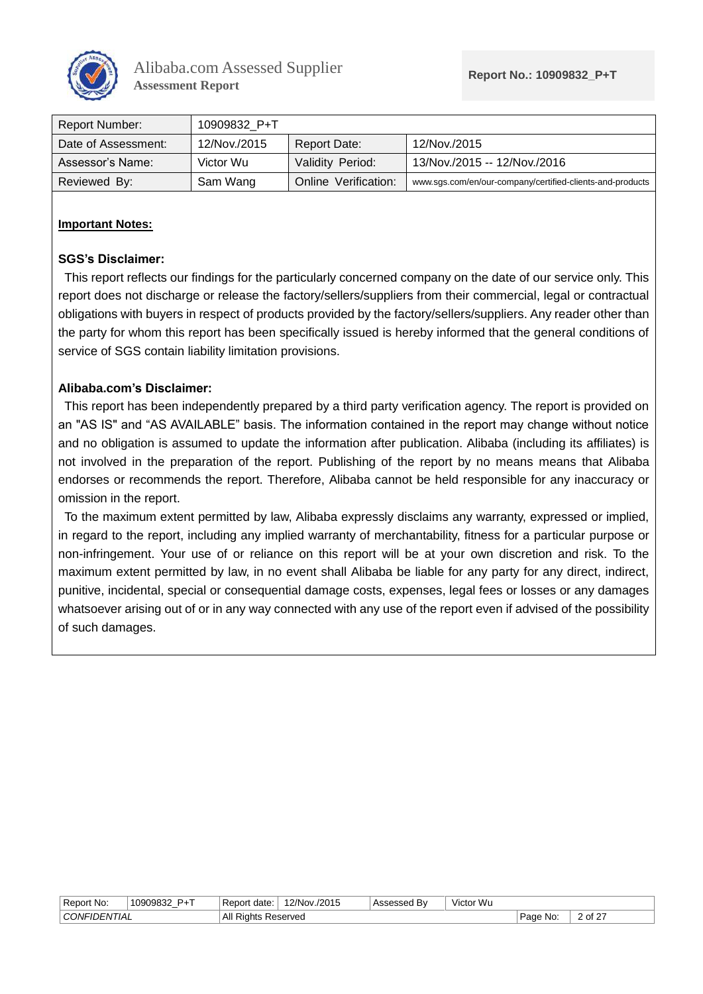

| Report Number:      | 10909832 P+T |                      |                                                           |
|---------------------|--------------|----------------------|-----------------------------------------------------------|
| Date of Assessment: | 12/Nov./2015 | Report Date:         | 12/Nov./2015                                              |
| Assessor's Name:    | Victor Wu    | Validity Period:     | 13/Nov./2015 -- 12/Nov./2016                              |
| Reviewed By:        | Sam Wang     | Online Verification: | www.sgs.com/en/our-company/certified-clients-and-products |

#### **Important Notes:**

#### **SGS's Disclaimer:**

This report reflects our findings for the particularly concerned company on the date of our service only. This report does not discharge or release the factory/sellers/suppliers from their commercial, legal or contractual obligations with buyers in respect of products provided by the factory/sellers/suppliers. Any reader other than the party for whom this report has been specifically issued is hereby informed that the general conditions of service of SGS contain liability limitation provisions.

#### **Alibaba.com's Disclaimer:**

This report has been independently prepared by a third party verification agency. The report is provided on an "AS IS" and "AS AVAILABLE" basis. The information contained in the report may change without notice and no obligation is assumed to update the information after publication. Alibaba (including its affiliates) is not involved in the preparation of the report. Publishing of the report by no means means that Alibaba endorses or recommends the report. Therefore, Alibaba cannot be held responsible for any inaccuracy or omission in the report.

To the maximum extent permitted by law, Alibaba expressly disclaims any warranty, expressed or implied, in regard to the report, including any implied warranty of merchantability, fitness for a particular purpose or non-infringement. Your use of or reliance on this report will be at your own discretion and risk. To the maximum extent permitted by law, in no event shall Alibaba be liable for any party for any direct, indirect, punitive, incidental, special or consequential damage costs, expenses, legal fees or losses or any damages whatsoever arising out of or in any way connected with any use of the report even if advised of the possibility of such damages.

| .<br>Report No:     | <b>P</b> <sub>+</sub> T<br>10909832<br>ັບວບວບວ∠ | . Report<br>* date.        | 12/Nov.<br>/2015 | Bv<br>Accaccar | Victor Wu |             |         |
|---------------------|-------------------------------------------------|----------------------------|------------------|----------------|-----------|-------------|---------|
| <b>CONFIDENTIAL</b> |                                                 | <b>All Rights Reserved</b> |                  |                |           | Page<br>No: | 2 of 27 |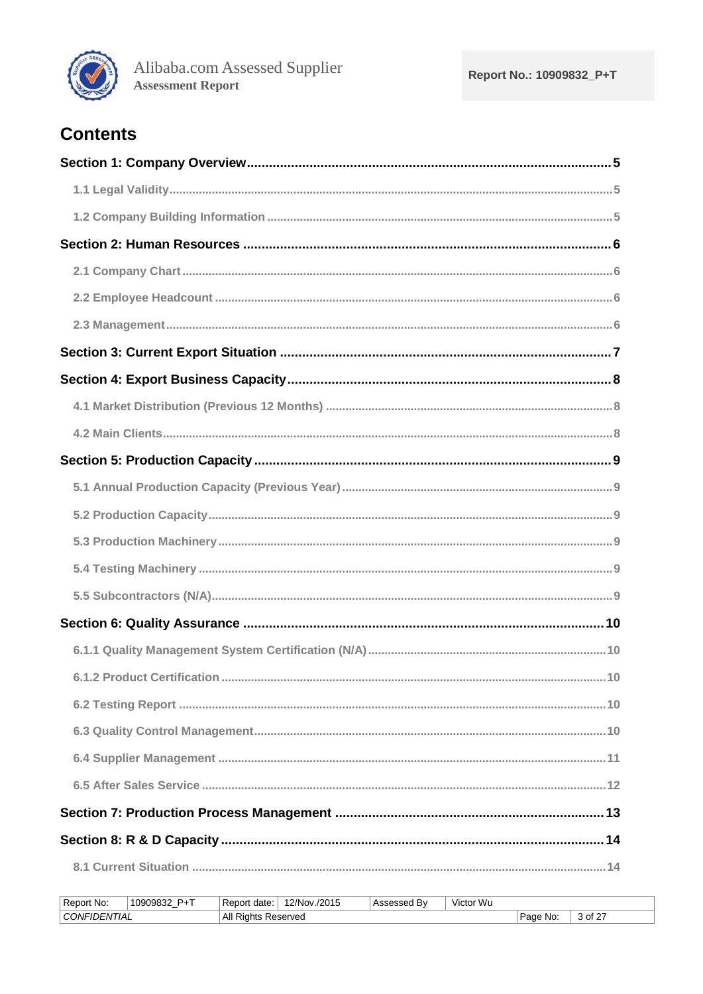

### **Contents**

| 6.1.2 Product Certification.<br>10 |
|------------------------------------|
|                                    |
|                                    |
|                                    |
|                                    |
|                                    |
|                                    |
|                                    |

| Report No:          | $P+T$<br>10909832 | Report<br>date: | 12/Nov./2015 | <b>Assessed By</b> | Victor Wu |             |         |
|---------------------|-------------------|-----------------|--------------|--------------------|-----------|-------------|---------|
| CONFIDENTIAL<br>All |                   | Riahts          | Reserved     |                    |           | Page<br>Mo: | 3 of 27 |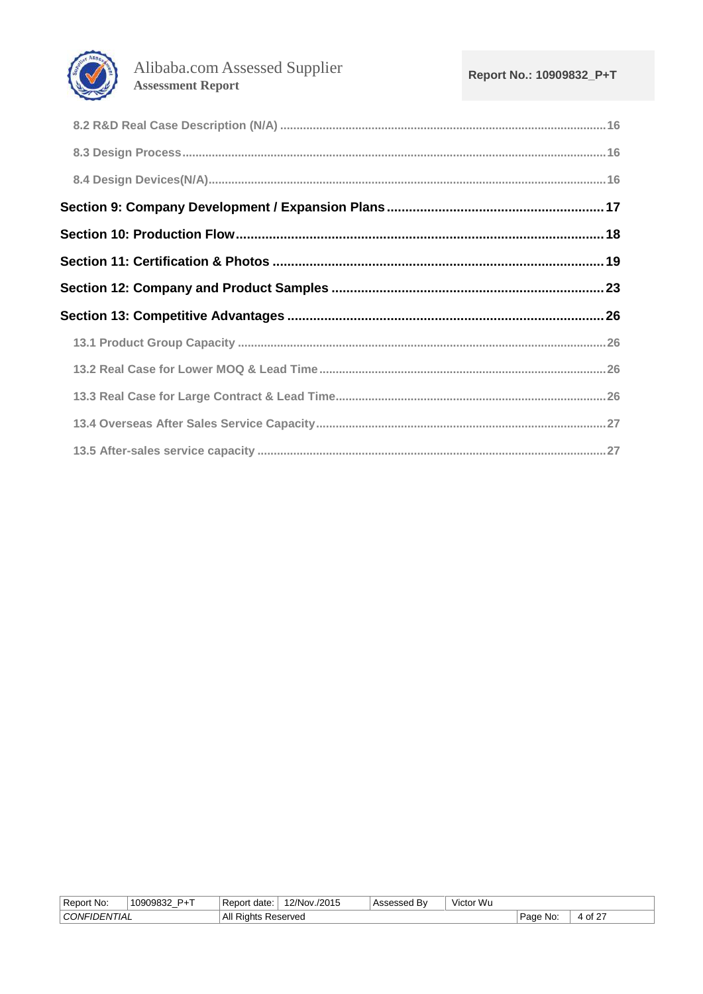

| Report No:                 | $P+T$<br>10909832 | Report<br>date: | $12/Nov$ .<br>/2015 | Bv<br>ssessed | Victor Wu |          |         |
|----------------------------|-------------------|-----------------|---------------------|---------------|-----------|----------|---------|
| <b>CONFIL</b><br>-IDENTIAL |                   | All<br>Rights   | Reserved            |               |           | Page No: | 4 of 27 |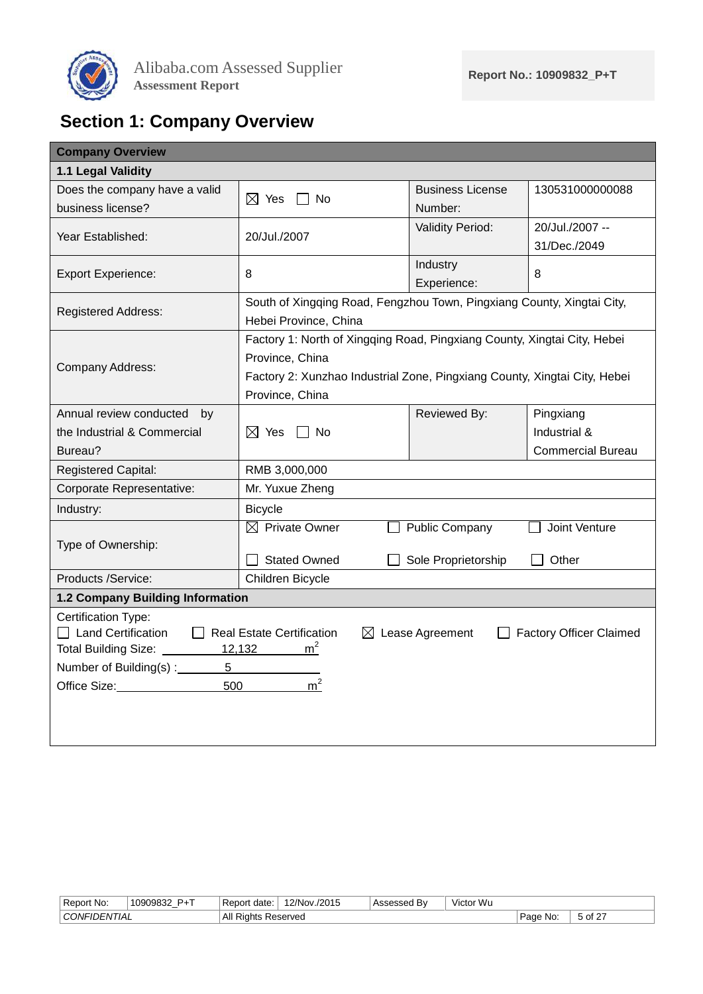

# <span id="page-4-0"></span>**Section 1: Company Overview**

<span id="page-4-1"></span>

|                                                          | <b>Business License</b>                                                                                                                                                                                  | 130531000000088                                                                                                                                                                                                                                                                                                |  |  |  |  |  |  |
|----------------------------------------------------------|----------------------------------------------------------------------------------------------------------------------------------------------------------------------------------------------------------|----------------------------------------------------------------------------------------------------------------------------------------------------------------------------------------------------------------------------------------------------------------------------------------------------------------|--|--|--|--|--|--|
|                                                          | Number:                                                                                                                                                                                                  |                                                                                                                                                                                                                                                                                                                |  |  |  |  |  |  |
|                                                          | <b>Validity Period:</b>                                                                                                                                                                                  | 20/Jul./2007 --                                                                                                                                                                                                                                                                                                |  |  |  |  |  |  |
|                                                          |                                                                                                                                                                                                          | 31/Dec./2049                                                                                                                                                                                                                                                                                                   |  |  |  |  |  |  |
|                                                          | Industry                                                                                                                                                                                                 | 8                                                                                                                                                                                                                                                                                                              |  |  |  |  |  |  |
|                                                          | Experience:                                                                                                                                                                                              |                                                                                                                                                                                                                                                                                                                |  |  |  |  |  |  |
|                                                          |                                                                                                                                                                                                          |                                                                                                                                                                                                                                                                                                                |  |  |  |  |  |  |
| Hebei Province, China                                    |                                                                                                                                                                                                          |                                                                                                                                                                                                                                                                                                                |  |  |  |  |  |  |
|                                                          |                                                                                                                                                                                                          |                                                                                                                                                                                                                                                                                                                |  |  |  |  |  |  |
| Province, China                                          |                                                                                                                                                                                                          |                                                                                                                                                                                                                                                                                                                |  |  |  |  |  |  |
|                                                          |                                                                                                                                                                                                          |                                                                                                                                                                                                                                                                                                                |  |  |  |  |  |  |
| Province, China                                          |                                                                                                                                                                                                          |                                                                                                                                                                                                                                                                                                                |  |  |  |  |  |  |
|                                                          | Reviewed By:                                                                                                                                                                                             | Pingxiang                                                                                                                                                                                                                                                                                                      |  |  |  |  |  |  |
| $\boxtimes$ Yes<br><b>No</b>                             |                                                                                                                                                                                                          | Industrial &                                                                                                                                                                                                                                                                                                   |  |  |  |  |  |  |
|                                                          |                                                                                                                                                                                                          | <b>Commercial Bureau</b>                                                                                                                                                                                                                                                                                       |  |  |  |  |  |  |
| RMB 3,000,000                                            |                                                                                                                                                                                                          |                                                                                                                                                                                                                                                                                                                |  |  |  |  |  |  |
| Mr. Yuxue Zheng                                          |                                                                                                                                                                                                          |                                                                                                                                                                                                                                                                                                                |  |  |  |  |  |  |
| <b>Bicycle</b>                                           |                                                                                                                                                                                                          |                                                                                                                                                                                                                                                                                                                |  |  |  |  |  |  |
| $\boxtimes$ Private Owner                                |                                                                                                                                                                                                          | Joint Venture                                                                                                                                                                                                                                                                                                  |  |  |  |  |  |  |
|                                                          |                                                                                                                                                                                                          |                                                                                                                                                                                                                                                                                                                |  |  |  |  |  |  |
|                                                          |                                                                                                                                                                                                          | Other                                                                                                                                                                                                                                                                                                          |  |  |  |  |  |  |
|                                                          |                                                                                                                                                                                                          |                                                                                                                                                                                                                                                                                                                |  |  |  |  |  |  |
|                                                          |                                                                                                                                                                                                          |                                                                                                                                                                                                                                                                                                                |  |  |  |  |  |  |
|                                                          |                                                                                                                                                                                                          |                                                                                                                                                                                                                                                                                                                |  |  |  |  |  |  |
|                                                          |                                                                                                                                                                                                          | <b>Factory Officer Claimed</b>                                                                                                                                                                                                                                                                                 |  |  |  |  |  |  |
| Total Building Size: 12,132<br>Number of Building(s) : 5 |                                                                                                                                                                                                          |                                                                                                                                                                                                                                                                                                                |  |  |  |  |  |  |
|                                                          |                                                                                                                                                                                                          |                                                                                                                                                                                                                                                                                                                |  |  |  |  |  |  |
|                                                          |                                                                                                                                                                                                          |                                                                                                                                                                                                                                                                                                                |  |  |  |  |  |  |
|                                                          |                                                                                                                                                                                                          |                                                                                                                                                                                                                                                                                                                |  |  |  |  |  |  |
|                                                          |                                                                                                                                                                                                          |                                                                                                                                                                                                                                                                                                                |  |  |  |  |  |  |
|                                                          | $\boxtimes$ Yes<br>$\Box$ No<br>20/Jul./2007<br>8<br><b>Stated Owned</b><br>Children Bicycle<br>1.2 Company Building Information<br>Real Estate Certification<br>m <sup>2</sup><br>m <sup>2</sup><br>500 | South of Xingqing Road, Fengzhou Town, Pingxiang County, Xingtai City,<br>Factory 1: North of Xingqing Road, Pingxiang County, Xingtai City, Hebei<br>Factory 2: Xunzhao Industrial Zone, Pingxiang County, Xingtai City, Hebei<br><b>Public Company</b><br>Sole Proprietorship<br>$\boxtimes$ Lease Agreement |  |  |  |  |  |  |

<span id="page-4-2"></span>

| Report No:                 | <b>D</b> <sub>L</sub> T<br>10909832 | ⊥Report<br>date: | 12/Nov.<br>/2015 | \ssessed<br>. Bv | Victor Wu |              |                                  |
|----------------------------|-------------------------------------|------------------|------------------|------------------|-----------|--------------|----------------------------------|
| <b>CONFIL</b><br>-IDENTIAL |                                     | ΔI<br>Rights     | Reserved         |                  |           | . No:<br>auc | ാ of <sup>27</sup><br>$\epsilon$ |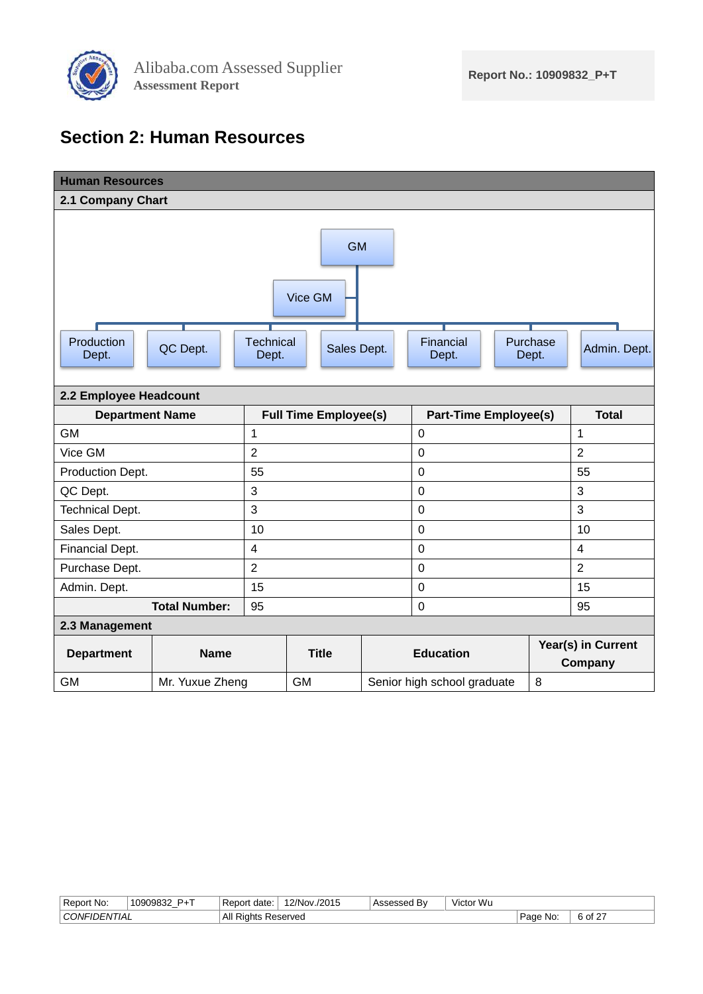

### <span id="page-5-0"></span>**Section 2: Human Resources**

<span id="page-5-2"></span><span id="page-5-1"></span>

| <b>Human Resources</b> |                      |                         |                              |  |                              |  |                   |                               |  |
|------------------------|----------------------|-------------------------|------------------------------|--|------------------------------|--|-------------------|-------------------------------|--|
| 2.1 Company Chart      |                      |                         |                              |  |                              |  |                   |                               |  |
| <b>GM</b>              |                      |                         |                              |  |                              |  |                   |                               |  |
|                        |                      |                         | Vice GM                      |  |                              |  |                   |                               |  |
| Production<br>Dept.    | QC Dept.             | Technical<br>Dept.      | Sales Dept.                  |  | Financial<br>Dept.           |  | Purchase<br>Dept. | Admin. Dept.                  |  |
| 2.2 Employee Headcount |                      |                         |                              |  |                              |  |                   |                               |  |
| <b>Department Name</b> |                      |                         | <b>Full Time Employee(s)</b> |  | <b>Part-Time Employee(s)</b> |  |                   | <b>Total</b>                  |  |
| <b>GM</b>              |                      | 1                       |                              |  | $\mathbf 0$                  |  |                   | $\mathbf 1$                   |  |
| Vice GM                |                      | $\overline{2}$          |                              |  | $\mathbf 0$                  |  |                   | $\overline{2}$                |  |
| Production Dept.       |                      | 55                      |                              |  | $\mathbf 0$                  |  |                   | 55                            |  |
| QC Dept.               |                      | 3                       |                              |  | $\overline{0}$               |  |                   | 3                             |  |
| <b>Technical Dept.</b> |                      | 3                       |                              |  | $\mathbf 0$                  |  |                   | 3                             |  |
| Sales Dept.            |                      | 10                      |                              |  | $\overline{0}$               |  |                   | 10                            |  |
| Financial Dept.        |                      | $\overline{\mathbf{4}}$ |                              |  | $\mathbf 0$                  |  |                   | $\overline{4}$                |  |
| Purchase Dept.         |                      | $\overline{2}$          |                              |  | $\mathbf 0$                  |  |                   | $\overline{2}$                |  |
| Admin. Dept.           |                      | 15                      |                              |  | $\mathbf 0$                  |  |                   | 15                            |  |
|                        | <b>Total Number:</b> | 95                      |                              |  | $\mathbf 0$                  |  |                   | 95                            |  |
| 2.3 Management         |                      |                         |                              |  |                              |  |                   |                               |  |
| <b>Department</b>      | <b>Name</b>          |                         | <b>Title</b>                 |  | <b>Education</b>             |  |                   | Year(s) in Current<br>Company |  |
| <b>GM</b>              | Mr. Yuxue Zheng      |                         | <b>GM</b>                    |  | Senior high school graduate  |  | 8                 |                               |  |

<span id="page-5-3"></span>

| Report No:                | <b>D</b> <sub>+</sub> T<br>1090982<br>_ | Report<br>date<br>∵Re∟ | /2015<br>2/Nov. | .<br>ים | Victor Wu |               |             |
|---------------------------|-----------------------------------------|------------------------|-----------------|---------|-----------|---------------|-------------|
| <sup>'</sup> CONFIDENTIAL |                                         | All<br>≺iahts          | Reserved        |         |           | ' Page<br>No: | $60f$ $2^-$ |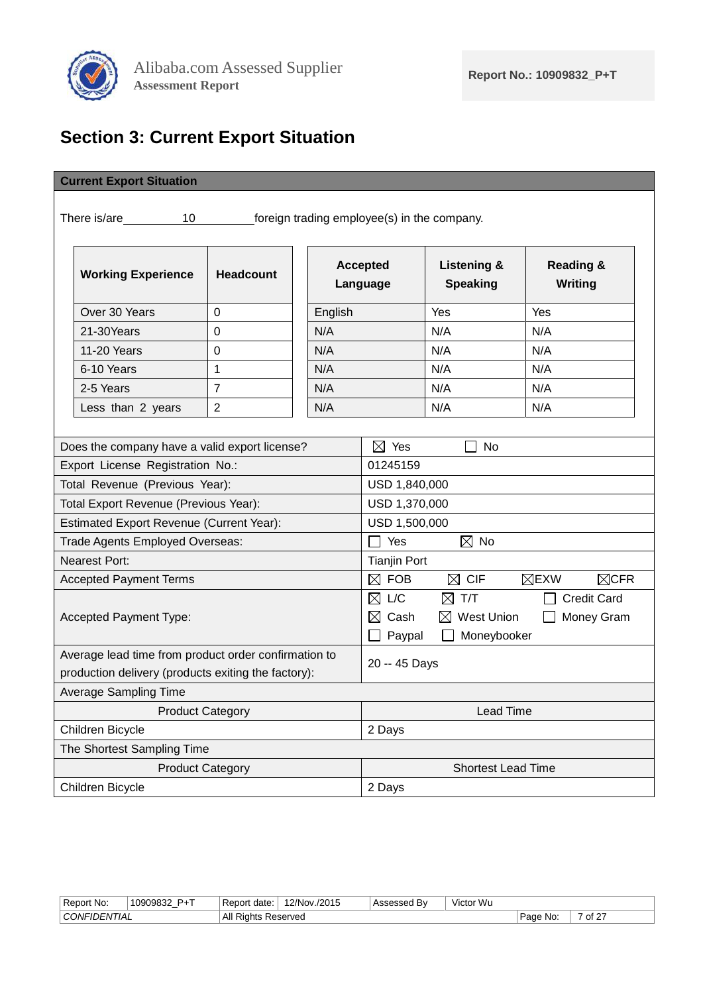

# <span id="page-6-0"></span>**Section 3: Current Export Situation**

#### **Current Export Situation**

There is/are 10 foreign trading employee(s) in the company.

| <b>Working Experience</b> | <b>Headcount</b> | <b>Accepted</b><br>Language | <b>Listening &amp;</b><br><b>Speaking</b> | <b>Reading &amp;</b><br>Writing |
|---------------------------|------------------|-----------------------------|-------------------------------------------|---------------------------------|
| Over 30 Years             | 0                | English                     | Yes                                       | Yes                             |
| 21-30Years                | 0                | N/A                         | N/A                                       | N/A                             |
| 11-20 Years               | $\Omega$         | N/A                         | N/A                                       | N/A                             |
| 6-10 Years                |                  | N/A                         | N/A                                       | N/A                             |
| 2-5 Years                 | ⇁                | N/A                         | N/A                                       | N/A                             |
| Less than 2 years         | $\overline{2}$   | N/A                         | N/A                                       | N/A                             |

| Does the company have a valid export license?                                                               | $\boxtimes$<br>Yes<br>No                                                                                                                                |  |  |  |  |
|-------------------------------------------------------------------------------------------------------------|---------------------------------------------------------------------------------------------------------------------------------------------------------|--|--|--|--|
| Export License Registration No.:                                                                            | 01245159                                                                                                                                                |  |  |  |  |
| Total Revenue (Previous Year):                                                                              | USD 1,840,000                                                                                                                                           |  |  |  |  |
| Total Export Revenue (Previous Year):                                                                       | USD 1,370,000                                                                                                                                           |  |  |  |  |
| <b>Estimated Export Revenue (Current Year):</b>                                                             | USD 1,500,000                                                                                                                                           |  |  |  |  |
| Trade Agents Employed Overseas:                                                                             | $\boxtimes$ No<br>Yes                                                                                                                                   |  |  |  |  |
| <b>Nearest Port:</b>                                                                                        | <b>Tianjin Port</b>                                                                                                                                     |  |  |  |  |
| <b>Accepted Payment Terms</b>                                                                               | $\boxtimes$ CFR<br><b>FOB</b><br>$\boxtimes$ EXW<br>⊠<br>$\boxtimes$ CIF                                                                                |  |  |  |  |
| Accepted Payment Type:                                                                                      | ⊠<br>L/C<br>T/T<br><b>Credit Card</b><br>$\bowtie$<br>$\bowtie$<br>Cash<br><b>West Union</b><br>$\bowtie$<br><b>Money Gram</b><br>Moneybooker<br>Paypal |  |  |  |  |
| Average lead time from product order confirmation to<br>production delivery (products exiting the factory): | 20 -- 45 Days                                                                                                                                           |  |  |  |  |
| Average Sampling Time                                                                                       |                                                                                                                                                         |  |  |  |  |
| <b>Product Category</b>                                                                                     | Lead Time                                                                                                                                               |  |  |  |  |
| Children Bicycle                                                                                            | 2 Days                                                                                                                                                  |  |  |  |  |
| The Shortest Sampling Time                                                                                  |                                                                                                                                                         |  |  |  |  |
| <b>Product Category</b>                                                                                     | <b>Shortest Lead Time</b>                                                                                                                               |  |  |  |  |
| Children Bicycle                                                                                            | 2 Days                                                                                                                                                  |  |  |  |  |

| Report No:   | <b>D</b> <sub>+</sub> T<br>10909832 | Report<br>date:                  | 12/Nov.<br>/./2015 | . Bv<br>Assessed | Victor Wu |             |                                   |
|--------------|-------------------------------------|----------------------------------|--------------------|------------------|-----------|-------------|-----------------------------------|
| CONFIDENTIAL |                                     | ΔII<br>Rights Reserved<br>$\sim$ |                    |                  |           | No:<br>Page | of 27<br>$\overline{\phantom{a}}$ |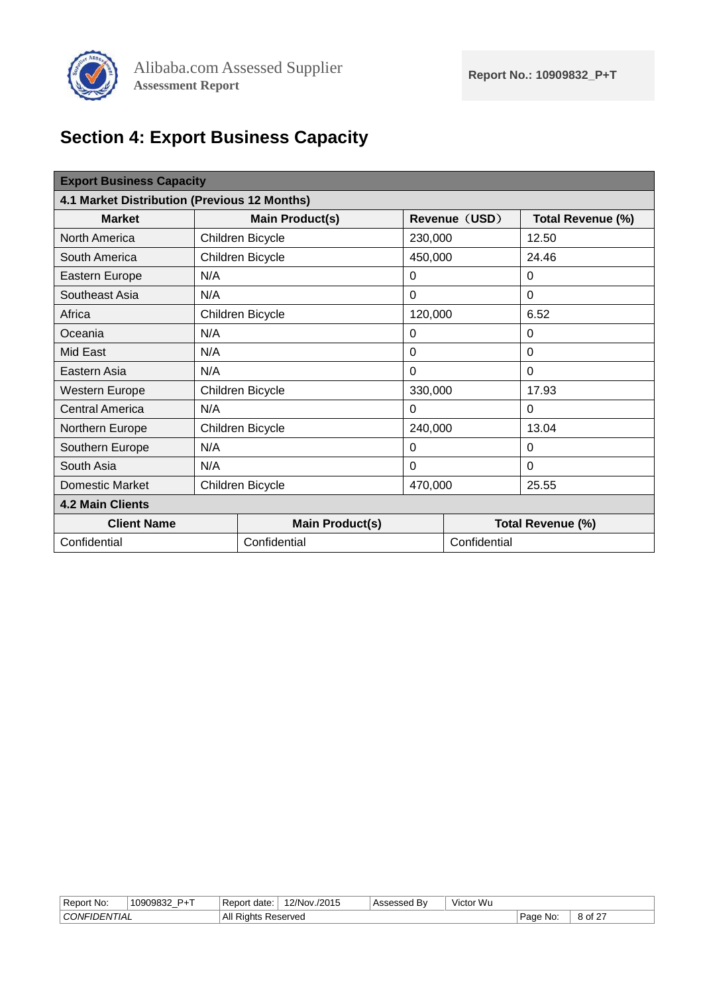

# <span id="page-7-0"></span>**Section 4: Export Business Capacity**

<span id="page-7-2"></span><span id="page-7-1"></span>

| <b>Export Business Capacity</b>              |                  |                        |          |               |                   |  |  |
|----------------------------------------------|------------------|------------------------|----------|---------------|-------------------|--|--|
| 4.1 Market Distribution (Previous 12 Months) |                  |                        |          |               |                   |  |  |
| <b>Market</b>                                |                  | <b>Main Product(s)</b> |          | Revenue (USD) | Total Revenue (%) |  |  |
| North America                                |                  | Children Bicycle       | 230,000  |               | 12.50             |  |  |
| South America                                |                  | Children Bicycle       | 450,000  |               | 24.46             |  |  |
| Eastern Europe                               | N/A              |                        | $\Omega$ |               | $\Omega$          |  |  |
| Southeast Asia                               | N/A              |                        |          |               | $\mathbf 0$       |  |  |
| Africa                                       | Children Bicycle |                        | 120,000  |               | 6.52              |  |  |
| Oceania                                      | N/A              |                        | $\Omega$ |               | $\Omega$          |  |  |
| Mid East                                     | N/A              |                        | $\Omega$ |               | $\Omega$          |  |  |
| Eastern Asia                                 | N/A              |                        | $\Omega$ |               | $\Omega$          |  |  |
| <b>Western Europe</b>                        |                  | Children Bicycle       | 330,000  |               | 17.93             |  |  |
| Central America                              | N/A              |                        | $\Omega$ |               | $\Omega$          |  |  |
| Northern Europe                              |                  | Children Bicycle       | 240,000  |               | 13.04             |  |  |
| Southern Europe                              | N/A              |                        | $\Omega$ |               | 0                 |  |  |
| South Asia                                   | N/A              |                        | $\Omega$ |               | $\Omega$          |  |  |
| Domestic Market                              | Children Bicycle |                        | 470,000  |               | 25.55             |  |  |
| <b>4.2 Main Clients</b>                      |                  |                        |          |               |                   |  |  |
| <b>Client Name</b>                           |                  | <b>Main Product(s)</b> |          |               | Total Revenue (%) |  |  |
| Confidential                                 |                  | Confidential           |          |               | Confidential      |  |  |

| Report No:                | <b>D</b> <sub>+</sub> T<br>$1090983^\circ$ | . Rer<br>date:<br>nr      | $'2/Nov$ .<br>/2015 | Bv<br>\ssessed | $\cdots$<br>∙ Wu<br>Victor |                          |         |
|---------------------------|--------------------------------------------|---------------------------|---------------------|----------------|----------------------------|--------------------------|---------|
| CONFIL<br><b>'DENTIAL</b> |                                            | ΔII<br>-<br>Riahts<br>nı. | Reserved            |                |                            | No<br><b>Dono</b><br>auc | of 27 د |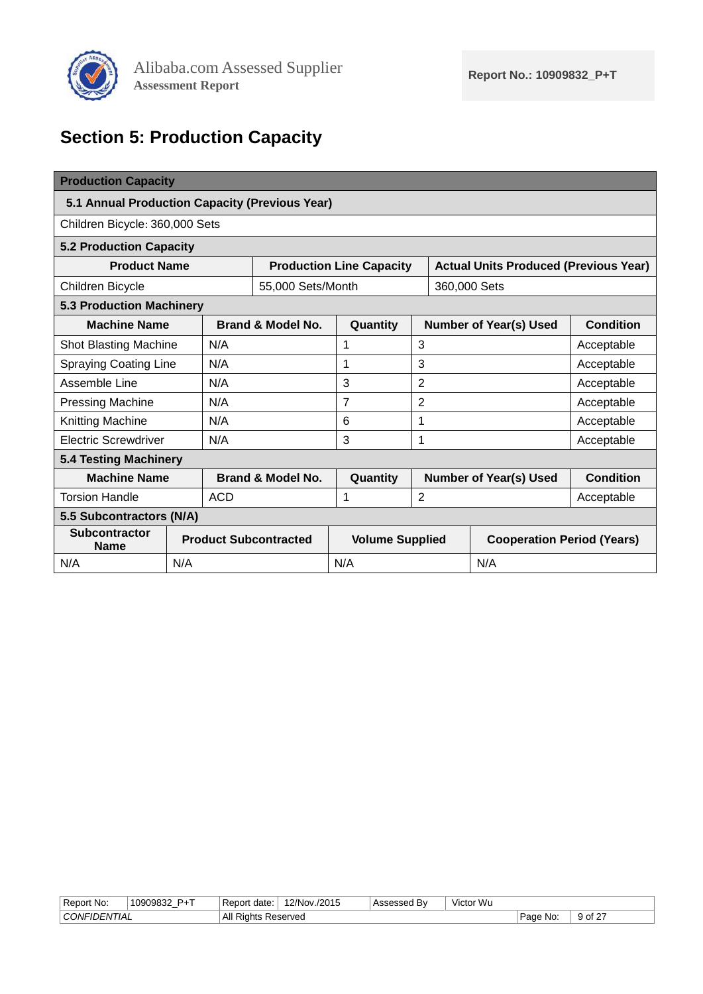

# <span id="page-8-0"></span>**Section 5: Production Capacity**

<span id="page-8-5"></span><span id="page-8-4"></span><span id="page-8-3"></span><span id="page-8-2"></span><span id="page-8-1"></span>

| <b>Production Capacity</b>                          |     |            |                              |                                 |                               |                                              |                                   |  |  |
|-----------------------------------------------------|-----|------------|------------------------------|---------------------------------|-------------------------------|----------------------------------------------|-----------------------------------|--|--|
| 5.1 Annual Production Capacity (Previous Year)      |     |            |                              |                                 |                               |                                              |                                   |  |  |
| Children Bicycle: 360,000 Sets                      |     |            |                              |                                 |                               |                                              |                                   |  |  |
| <b>5.2 Production Capacity</b>                      |     |            |                              |                                 |                               |                                              |                                   |  |  |
| <b>Product Name</b>                                 |     |            |                              | <b>Production Line Capacity</b> |                               | <b>Actual Units Produced (Previous Year)</b> |                                   |  |  |
| Children Bicycle                                    |     |            | 55,000 Sets/Month            |                                 |                               | 360,000 Sets                                 |                                   |  |  |
| <b>5.3 Production Machinery</b>                     |     |            |                              |                                 |                               |                                              |                                   |  |  |
| <b>Machine Name</b><br>Brand & Model No.            |     |            | Quantity                     |                                 | <b>Number of Year(s) Used</b> | <b>Condition</b>                             |                                   |  |  |
| <b>Shot Blasting Machine</b>                        |     | N/A        |                              | 1                               | 3                             |                                              | Acceptable                        |  |  |
| <b>Spraying Coating Line</b>                        |     | N/A        |                              | 1                               | 3                             |                                              | Acceptable                        |  |  |
| Assemble Line                                       |     | N/A        |                              | 3                               | $\overline{2}$                |                                              | Acceptable                        |  |  |
| <b>Pressing Machine</b>                             |     | N/A        |                              | $\overline{7}$                  | $\overline{2}$                |                                              | Acceptable                        |  |  |
| Knitting Machine                                    |     | N/A        |                              | 6                               | 1                             |                                              | Acceptable                        |  |  |
| <b>Electric Screwdriver</b>                         |     | N/A        |                              | 3                               | $\mathbf 1$                   |                                              | Acceptable                        |  |  |
| <b>5.4 Testing Machinery</b>                        |     |            |                              |                                 |                               |                                              |                                   |  |  |
| <b>Machine Name</b><br><b>Brand &amp; Model No.</b> |     | Quantity   |                              | <b>Number of Year(s) Used</b>   | <b>Condition</b>              |                                              |                                   |  |  |
| <b>Torsion Handle</b>                               |     | <b>ACD</b> |                              | 1                               | $\overline{2}$                |                                              | Acceptable                        |  |  |
| 5.5 Subcontractors (N/A)                            |     |            |                              |                                 |                               |                                              |                                   |  |  |
| <b>Subcontractor</b><br><b>Name</b>                 |     |            | <b>Product Subcontracted</b> | <b>Volume Supplied</b>          |                               |                                              | <b>Cooperation Period (Years)</b> |  |  |
| N/A                                                 | N/A |            |                              | N/A                             |                               | N/A                                          |                                   |  |  |

| . All R'<br>CONFIL<br>$9$ of 27<br>Reserved<br>No<br>∍∽∼ ب<br>' IAL<br>Rights<br>. <b>JENI</b><br>auc | Report No: | <b>D</b> <sub>+</sub> T<br>10000832<br>- | date<br>۱N | /2015<br>$2/N$ nv | $\cdots$<br>Bv | .<br>$\cdots$<br>Victor Wu |  |
|-------------------------------------------------------------------------------------------------------|------------|------------------------------------------|------------|-------------------|----------------|----------------------------|--|
|                                                                                                       |            |                                          |            |                   |                |                            |  |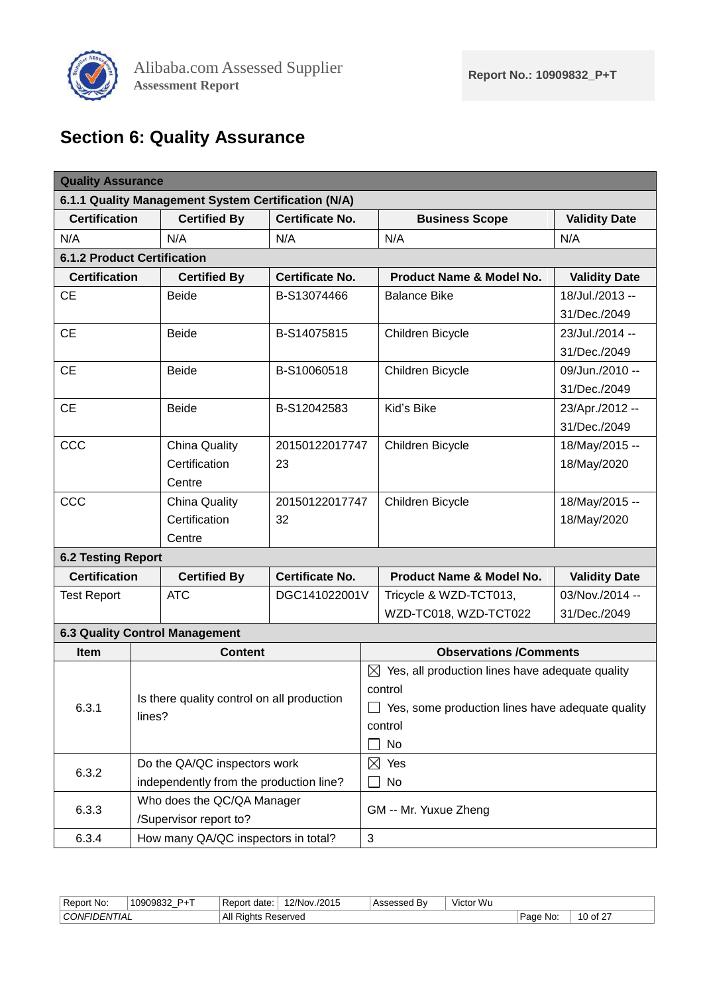

# <span id="page-9-0"></span>**Section 6: Quality Assurance**

<span id="page-9-2"></span><span id="page-9-1"></span>

| <b>Quality Assurance</b>              |  |                                                     |                        |                                                             |                                                             |                      |  |  |
|---------------------------------------|--|-----------------------------------------------------|------------------------|-------------------------------------------------------------|-------------------------------------------------------------|----------------------|--|--|
|                                       |  | 6.1.1 Quality Management System Certification (N/A) |                        |                                                             |                                                             |                      |  |  |
| <b>Certification</b>                  |  | <b>Certified By</b>                                 | <b>Certificate No.</b> |                                                             | <b>Business Scope</b>                                       | <b>Validity Date</b> |  |  |
| N/A                                   |  | N/A                                                 | N/A                    |                                                             | N/A                                                         | N/A                  |  |  |
| <b>6.1.2 Product Certification</b>    |  |                                                     |                        |                                                             |                                                             |                      |  |  |
| <b>Certification</b>                  |  | <b>Certified By</b>                                 | <b>Certificate No.</b> |                                                             | Product Name & Model No.                                    | <b>Validity Date</b> |  |  |
| <b>CE</b>                             |  | <b>Beide</b>                                        | B-S13074466            |                                                             | <b>Balance Bike</b>                                         | 18/Jul./2013 --      |  |  |
|                                       |  |                                                     |                        |                                                             | 31/Dec./2049                                                |                      |  |  |
| <b>CE</b>                             |  | <b>Beide</b>                                        | B-S14075815            |                                                             | Children Bicycle                                            | 23/Jul./2014 --      |  |  |
|                                       |  |                                                     |                        |                                                             |                                                             | 31/Dec./2049         |  |  |
| <b>CE</b>                             |  | <b>Beide</b>                                        | B-S10060518            |                                                             | 09/Jun./2010 --<br>Children Bicycle                         |                      |  |  |
|                                       |  |                                                     |                        |                                                             |                                                             | 31/Dec./2049         |  |  |
| <b>CE</b>                             |  | <b>Beide</b>                                        | B-S12042583            |                                                             | Kid's Bike                                                  | 23/Apr./2012 --      |  |  |
|                                       |  |                                                     |                        |                                                             |                                                             | 31/Dec./2049         |  |  |
| CCC                                   |  | <b>China Quality</b>                                | 20150122017747         |                                                             | Children Bicycle                                            | 18/May/2015 --       |  |  |
|                                       |  | Certification                                       | 23                     |                                                             |                                                             | 18/May/2020          |  |  |
|                                       |  | Centre                                              |                        |                                                             |                                                             |                      |  |  |
| CCC<br><b>China Quality</b>           |  | 20150122017747                                      |                        | Children Bicycle                                            | 18/May/2015 --                                              |                      |  |  |
|                                       |  | Certification                                       | 32                     |                                                             |                                                             | 18/May/2020          |  |  |
|                                       |  | Centre                                              |                        |                                                             |                                                             |                      |  |  |
| <b>6.2 Testing Report</b>             |  |                                                     |                        |                                                             |                                                             |                      |  |  |
| <b>Certification</b>                  |  | <b>Certified By</b>                                 | <b>Certificate No.</b> | <b>Product Name &amp; Model No.</b><br><b>Validity Date</b> |                                                             |                      |  |  |
| <b>Test Report</b>                    |  | <b>ATC</b>                                          | DGC141022001V          |                                                             | Tricycle & WZD-TCT013,                                      | 03/Nov./2014 --      |  |  |
|                                       |  |                                                     |                        | WZD-TC018, WZD-TCT022                                       |                                                             | 31/Dec./2049         |  |  |
|                                       |  | <b>6.3 Quality Control Management</b>               |                        |                                                             |                                                             |                      |  |  |
| <b>Item</b>                           |  | <b>Content</b>                                      |                        |                                                             | <b>Observations /Comments</b>                               |                      |  |  |
|                                       |  |                                                     |                        |                                                             | $\boxtimes$ Yes, all production lines have adequate quality |                      |  |  |
|                                       |  | Is there quality control on all production          |                        | control                                                     |                                                             |                      |  |  |
| 6.3.1                                 |  | lines?                                              |                        |                                                             | Yes, some production lines have adequate quality            |                      |  |  |
|                                       |  |                                                     |                        |                                                             | control                                                     |                      |  |  |
|                                       |  |                                                     |                        | No                                                          |                                                             |                      |  |  |
| Do the QA/QC inspectors work<br>6.3.2 |  |                                                     | $\boxtimes$ Yes        |                                                             |                                                             |                      |  |  |
|                                       |  | independently from the production line?             |                        |                                                             | No                                                          |                      |  |  |
| 6.3.3                                 |  | Who does the QC/QA Manager                          |                        |                                                             | GM -- Mr. Yuxue Zheng                                       |                      |  |  |
|                                       |  | /Supervisor report to?                              |                        |                                                             |                                                             |                      |  |  |
| 6.3.4                                 |  | How many QA/QC inspectors in total?                 |                        | 3                                                           |                                                             |                      |  |  |

<span id="page-9-4"></span><span id="page-9-3"></span>

| All<br>CONF<br>$\sim$<br>. Page<br>No:<br>∕ of<br>Reserved<br>.<br>-NIJAL<br>nts<br>11 JF<br><b>NUI</b><br>$\mathbf{u}$ | . .<br>-<br>No:<br>Report | $-$<br>1090983<br>w<br>- | ⊤Repor'<br>date | $^{\circ}$ 2/Nov.<br>/2015<br>,, | B٧<br>0.00000 | $\cdots$<br>$\cdots$<br>√ictor Wu |  |
|-------------------------------------------------------------------------------------------------------------------------|---------------------------|--------------------------|-----------------|----------------------------------|---------------|-----------------------------------|--|
|                                                                                                                         |                           |                          |                 |                                  |               |                                   |  |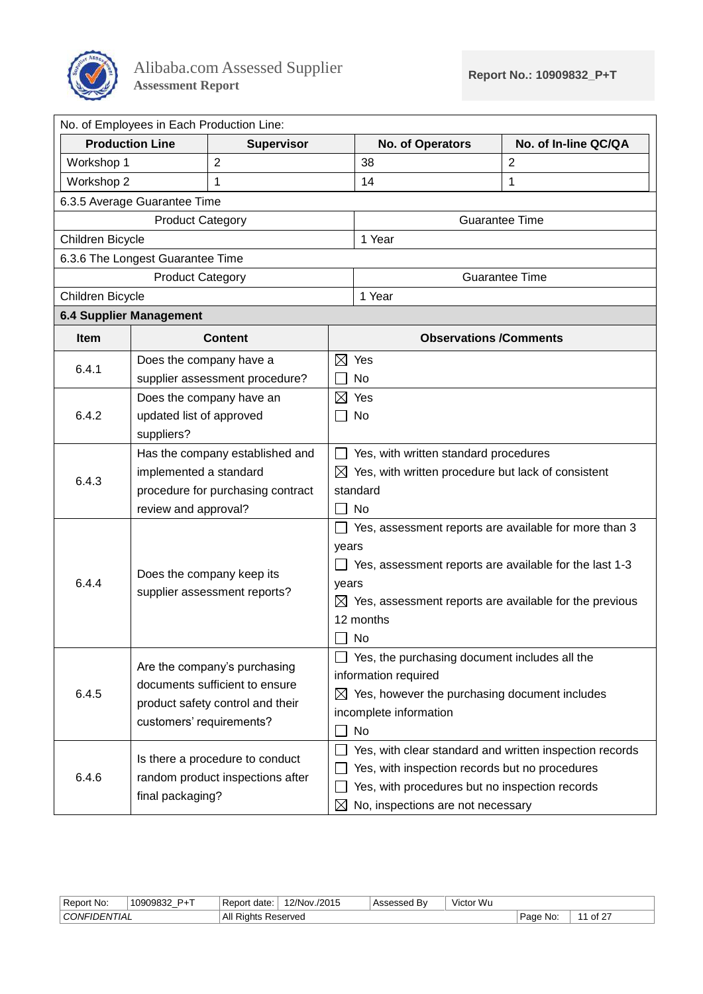

<span id="page-10-0"></span>

|                                         | No. of Employees in Each Production Line:                 |                                   |                                                       |                                                                    |                       |  |  |  |  |
|-----------------------------------------|-----------------------------------------------------------|-----------------------------------|-------------------------------------------------------|--------------------------------------------------------------------|-----------------------|--|--|--|--|
|                                         | <b>Production Line</b>                                    | <b>Supervisor</b>                 |                                                       | No. of Operators                                                   | No. of In-line QC/QA  |  |  |  |  |
| Workshop 1                              |                                                           | $\overline{2}$                    |                                                       | 38                                                                 | $\overline{2}$        |  |  |  |  |
| Workshop 2                              |                                                           | 1                                 |                                                       | 14                                                                 | 1                     |  |  |  |  |
|                                         | 6.3.5 Average Guarantee Time                              |                                   |                                                       |                                                                    |                       |  |  |  |  |
|                                         | <b>Product Category</b>                                   |                                   |                                                       | <b>Guarantee Time</b>                                              |                       |  |  |  |  |
| Children Bicycle                        |                                                           |                                   |                                                       | 1 Year                                                             |                       |  |  |  |  |
|                                         | 6.3.6 The Longest Guarantee Time                          |                                   |                                                       |                                                                    |                       |  |  |  |  |
|                                         | <b>Product Category</b>                                   |                                   |                                                       |                                                                    | <b>Guarantee Time</b> |  |  |  |  |
|                                         | Children Bicycle                                          |                                   |                                                       | 1 Year                                                             |                       |  |  |  |  |
|                                         | <b>6.4 Supplier Management</b>                            |                                   |                                                       |                                                                    |                       |  |  |  |  |
| Item                                    |                                                           | <b>Content</b>                    |                                                       | <b>Observations /Comments</b>                                      |                       |  |  |  |  |
| Does the company have a                 |                                                           |                                   |                                                       | $\boxtimes$ Yes                                                    |                       |  |  |  |  |
| 6.4.1<br>supplier assessment procedure? |                                                           |                                   |                                                       | No                                                                 |                       |  |  |  |  |
| Does the company have an                |                                                           |                                   | $\boxtimes$                                           | Yes                                                                |                       |  |  |  |  |
| 6.4.2<br>updated list of approved       |                                                           |                                   | No                                                    |                                                                    |                       |  |  |  |  |
| suppliers?                              |                                                           |                                   |                                                       |                                                                    |                       |  |  |  |  |
|                                         | Has the company established and                           |                                   |                                                       | Yes, with written standard procedures                              |                       |  |  |  |  |
| 6.4.3                                   | implemented a standard                                    |                                   | ⊠                                                     | Yes, with written procedure but lack of consistent                 |                       |  |  |  |  |
|                                         |                                                           | procedure for purchasing contract |                                                       | standard                                                           |                       |  |  |  |  |
|                                         | review and approval?                                      |                                   | No                                                    |                                                                    |                       |  |  |  |  |
|                                         |                                                           |                                   | Yes, assessment reports are available for more than 3 |                                                                    |                       |  |  |  |  |
|                                         |                                                           |                                   | years                                                 |                                                                    |                       |  |  |  |  |
| 6.4.4                                   | Does the company keep its<br>supplier assessment reports? |                                   |                                                       | Yes, assessment reports are available for the last 1-3<br>years    |                       |  |  |  |  |
|                                         |                                                           |                                   |                                                       | $\boxtimes$ Yes, assessment reports are available for the previous |                       |  |  |  |  |
|                                         |                                                           |                                   | 12 months                                             |                                                                    |                       |  |  |  |  |
|                                         |                                                           |                                   |                                                       | No                                                                 |                       |  |  |  |  |
|                                         |                                                           |                                   |                                                       | Yes, the purchasing document includes all the                      |                       |  |  |  |  |
|                                         |                                                           | Are the company's purchasing      |                                                       | information required                                               |                       |  |  |  |  |
| 6.4.5                                   |                                                           | documents sufficient to ensure    | Yes, however the purchasing document includes<br>⊠    |                                                                    |                       |  |  |  |  |
|                                         |                                                           | product safety control and their  | incomplete information                                |                                                                    |                       |  |  |  |  |
|                                         | customers' requirements?                                  |                                   |                                                       | No                                                                 |                       |  |  |  |  |
|                                         |                                                           | Is there a procedure to conduct   |                                                       | Yes, with clear standard and written inspection records            |                       |  |  |  |  |
| 6.4.6                                   |                                                           | random product inspections after  |                                                       | Yes, with inspection records but no procedures                     |                       |  |  |  |  |
|                                         |                                                           |                                   |                                                       | Yes, with procedures but no inspection records                     |                       |  |  |  |  |
|                                         | final packaging?                                          |                                   | ⊠                                                     | No, inspections are not necessary                                  |                       |  |  |  |  |

| Report<br>No:                   | <b>D</b> <sub>+</sub> T<br>10909832<br>$\overline{\phantom{a}}$ | date:<br>' Report | 2/Nov<br>2015/ | B٧<br>335U | $\cdots$<br>$\cdots$<br>∵Wu<br>Victor |                             |      |
|---------------------------------|-----------------------------------------------------------------|-------------------|----------------|------------|---------------------------------------|-----------------------------|------|
| $\sim$<br>, ∪ONFI⊓<br>·IDENTIAL |                                                                 | All<br>INI:<br>ww | Reserved<br>__ |            |                                       | ∽∼<br>Νo<br>au <sup>.</sup> | . .- |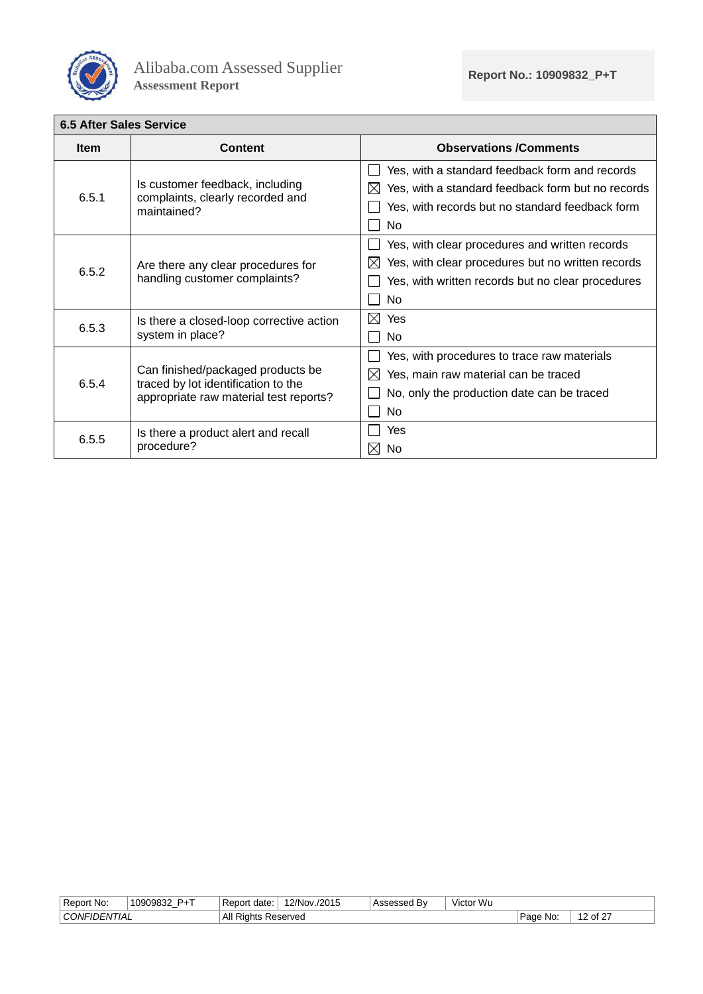

<span id="page-11-0"></span>

| <b>6.5 After Sales Service</b> |                                                                                                                    |                                                                                                                                                                      |
|--------------------------------|--------------------------------------------------------------------------------------------------------------------|----------------------------------------------------------------------------------------------------------------------------------------------------------------------|
| <b>Item</b>                    | Content                                                                                                            | <b>Observations /Comments</b>                                                                                                                                        |
| 6.5.1                          | Is customer feedback, including<br>complaints, clearly recorded and<br>maintained?                                 | Yes, with a standard feedback form and records<br>Yes, with a standard feedback form but no records<br>IX<br>Yes, with records but no standard feedback form<br>No.  |
| 6.5.2                          | Are there any clear procedures for<br>handling customer complaints?                                                | Yes, with clear procedures and written records<br>Yes, with clear procedures but no written records<br>⋉<br>Yes, with written records but no clear procedures<br>No. |
| 6.5.3                          | Is there a closed-loop corrective action<br>system in place?                                                       | ⊠<br>Yes<br>No.                                                                                                                                                      |
| 6.5.4                          | Can finished/packaged products be<br>traced by lot identification to the<br>appropriate raw material test reports? | Yes, with procedures to trace raw materials<br>Yes, main raw material can be traced<br>$\bowtie$<br>No, only the production date can be traced<br>No                 |
| 6.5.5                          | Is there a product alert and recall<br>procedure?                                                                  | Yes<br>No.<br>$\bowtie$                                                                                                                                              |

| Report No:                | <b>P</b> <sub>+</sub> T<br>10909832 | ' Report<br>date | v./2015<br>12/Nov. | Jed B∧ - | Victor Wu |            |                                           |
|---------------------------|-------------------------------------|------------------|--------------------|----------|-----------|------------|-------------------------------------------|
| <sup>'</sup> CONFIDENTIAL |                                     | All R<br>Rights  | Reserved           |          |           | Page<br>No | $\sqrt{2}$<br>$-$<br>$\sim$<br>$\epsilon$ |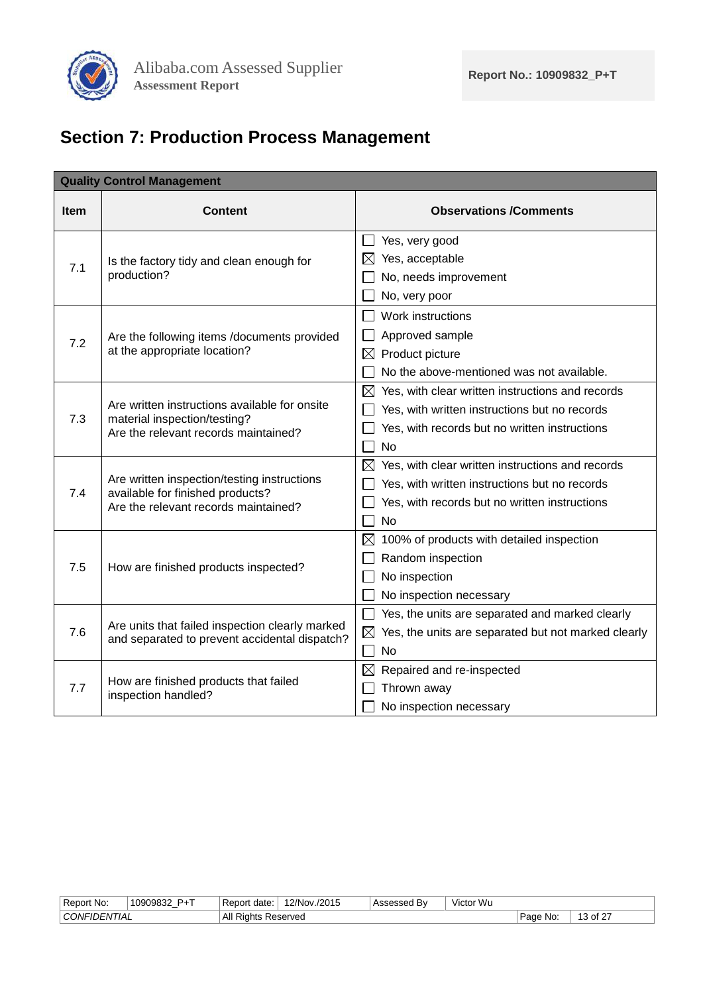

# <span id="page-12-0"></span>**Section 7: Production Process Management**

|             | <b>Quality Control Management</b>                                                                |                                                                 |
|-------------|--------------------------------------------------------------------------------------------------|-----------------------------------------------------------------|
| <b>Item</b> | <b>Content</b>                                                                                   | <b>Observations /Comments</b>                                   |
|             |                                                                                                  | $\Box$ Yes, very good                                           |
| 7.1         | Is the factory tidy and clean enough for                                                         | ⊠<br>Yes, acceptable                                            |
|             | production?                                                                                      | No, needs improvement                                           |
|             |                                                                                                  | No, very poor                                                   |
|             |                                                                                                  | Work instructions                                               |
| 7.2         | Are the following items /documents provided                                                      | Approved sample                                                 |
|             | at the appropriate location?                                                                     | $\boxtimes$<br>Product picture                                  |
|             |                                                                                                  | No the above-mentioned was not available.                       |
|             |                                                                                                  | $\boxtimes$ Yes, with clear written instructions and records    |
|             | Are written instructions available for onsite                                                    | Yes, with written instructions but no records                   |
| 7.3         | material inspection/testing?<br>Are the relevant records maintained?                             | Yes, with records but no written instructions                   |
|             |                                                                                                  | No                                                              |
|             |                                                                                                  | $\boxtimes$ Yes, with clear written instructions and records    |
| 7.4         | Are written inspection/testing instructions<br>available for finished products?                  | Yes, with written instructions but no records                   |
|             | Are the relevant records maintained?                                                             | Yes, with records but no written instructions                   |
|             |                                                                                                  | <b>No</b>                                                       |
|             |                                                                                                  | 100% of products with detailed inspection<br>⊠                  |
| 7.5         | How are finished products inspected?                                                             | Random inspection                                               |
|             |                                                                                                  | No inspection                                                   |
|             |                                                                                                  | No inspection necessary                                         |
|             |                                                                                                  | Yes, the units are separated and marked clearly                 |
| 7.6         | Are units that failed inspection clearly marked<br>and separated to prevent accidental dispatch? | $\boxtimes$ Yes, the units are separated but not marked clearly |
|             |                                                                                                  | No                                                              |
|             |                                                                                                  | Repaired and re-inspected<br>⊠                                  |
| 7.7         | How are finished products that failed<br>inspection handled?                                     | Thrown away                                                     |
|             |                                                                                                  | No inspection necessary                                         |

| Report No:     | <b>P</b> <sub>+</sub> T<br>1000083<br>$\overline{\phantom{a}}$ | date        | 2/Nov.<br>/2015 | .<br>Accaccad<br>ьv | $\cdots$<br>Victor Wu |             |                   |
|----------------|----------------------------------------------------------------|-------------|-----------------|---------------------|-----------------------|-------------|-------------------|
| ' CONFIDENTIAL |                                                                | All<br>≺iar | Reserved        |                     |                       | Page<br>No: | $\sigma$ of $2^-$ |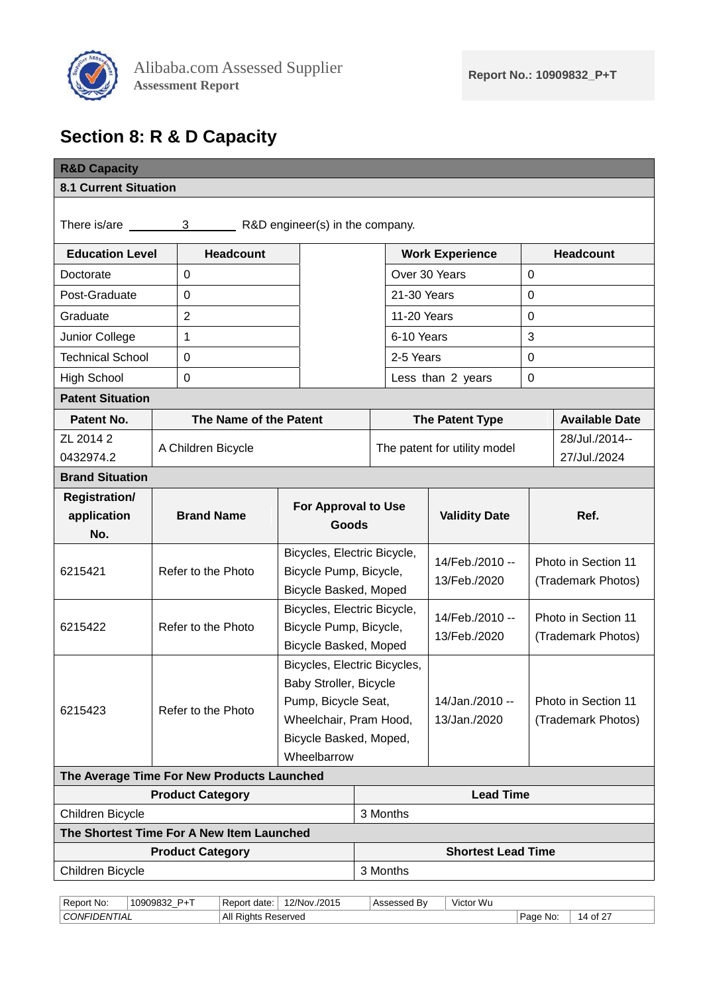

# <span id="page-13-0"></span>**Section 8: R & D Capacity**

<span id="page-13-1"></span>

| <b>R&amp;D Capacity</b>                                 |                                                |                              |                 |                              |                     |                                           |  |
|---------------------------------------------------------|------------------------------------------------|------------------------------|-----------------|------------------------------|---------------------|-------------------------------------------|--|
| <b>8.1 Current Situation</b>                            |                                                |                              |                 |                              |                     |                                           |  |
|                                                         | There is/are 3 R&D engineer(s) in the company. |                              |                 |                              |                     |                                           |  |
| <b>Education Level</b>                                  | <b>Headcount</b>                               |                              |                 | <b>Work Experience</b>       |                     | <b>Headcount</b>                          |  |
| 0<br>Doctorate                                          |                                                |                              |                 | Over 30 Years                | $\overline{0}$      |                                           |  |
| Post-Graduate                                           | 0                                              |                              | 21-30 Years     |                              | $\Omega$            |                                           |  |
| Graduate                                                | $\overline{2}$                                 |                              | 11-20 Years     |                              | $\mathbf 0$         |                                           |  |
| Junior College                                          | 1                                              |                              | 6-10 Years      |                              | 3                   |                                           |  |
| <b>Technical School</b>                                 | 0                                              |                              | 2-5 Years       |                              | 0                   |                                           |  |
| <b>High School</b>                                      | $\pmb{0}$                                      |                              |                 | Less than 2 years            | 0                   |                                           |  |
| <b>Patent Situation</b>                                 |                                                |                              |                 |                              |                     |                                           |  |
| Patent No.                                              | The Name of the Patent                         |                              |                 | The Patent Type              |                     | <b>Available Date</b>                     |  |
| ZL 2014 2<br>A Children Bicycle                         |                                                |                              |                 | The patent for utility model |                     | 28/Jul./2014--                            |  |
| 0432974.2                                               |                                                |                              |                 |                              |                     | 27/Jul./2024                              |  |
| <b>Brand Situation</b>                                  |                                                |                              |                 |                              |                     |                                           |  |
| <b>Registration/</b>                                    |                                                | <b>For Approval to Use</b>   |                 |                              |                     |                                           |  |
| No.                                                     | <b>Brand Name</b><br>application<br>Goods      |                              |                 | <b>Validity Date</b>         | Ref.                |                                           |  |
|                                                         |                                                | Bicycles, Electric Bicycle,  |                 |                              |                     |                                           |  |
| Refer to the Photo<br>Bicycle Pump, Bicycle,<br>6215421 |                                                |                              | 14/Feb./2010 -- |                              | Photo in Section 11 |                                           |  |
| Bicycle Basked, Moped                                   |                                                |                              | 13/Feb./2020    |                              | (Trademark Photos)  |                                           |  |
|                                                         |                                                | Bicycles, Electric Bicycle,  | 14/Feb./2010 -- |                              | Photo in Section 11 |                                           |  |
| Refer to the Photo<br>6215422                           |                                                | Bicycle Pump, Bicycle,       | 13/Feb./2020    |                              | (Trademark Photos)  |                                           |  |
|                                                         |                                                | Bicycle Basked, Moped        |                 |                              |                     |                                           |  |
|                                                         |                                                | Bicycles, Electric Bicycles, |                 |                              |                     |                                           |  |
| Baby Stroller, Bicycle<br>Pump, Bicycle Seat,           |                                                |                              | 14/Jan./2010 -- |                              |                     |                                           |  |
| 6215423<br>Refer to the Photo                           |                                                | Wheelchair, Pram Hood,       |                 | 13/Jan./2020                 |                     | Photo in Section 11<br>(Trademark Photos) |  |
|                                                         |                                                | Bicycle Basked, Moped,       |                 |                              |                     |                                           |  |
|                                                         |                                                | Wheelbarrow                  |                 |                              |                     |                                           |  |
|                                                         | The Average Time For New Products Launched     |                              |                 |                              |                     |                                           |  |
|                                                         | <b>Product Category</b>                        |                              |                 | <b>Lead Time</b>             |                     |                                           |  |
| Children Bicycle                                        |                                                |                              | 3 Months        |                              |                     |                                           |  |
|                                                         | The Shortest Time For A New Item Launched      |                              |                 |                              |                     |                                           |  |
|                                                         | <b>Product Category</b>                        |                              |                 | <b>Shortest Lead Time</b>    |                     |                                           |  |
| Children Bicycle                                        |                                                |                              | 3 Months        |                              |                     |                                           |  |

| -<br>Report<br>No:                | PLT<br>10909832 | Report<br>date: | 12/Nov./2015 | .<br>⊢∆ccaccar<br>юv | Victor Wu |             |                    |
|-----------------------------------|-----------------|-----------------|--------------|----------------------|-----------|-------------|--------------------|
| <b>CONFII</b><br><i>FIDENTIAL</i> |                 | All Rights      | Reserved     |                      |           | Page<br>No: | $.$ of 2 $7$<br>IΔ |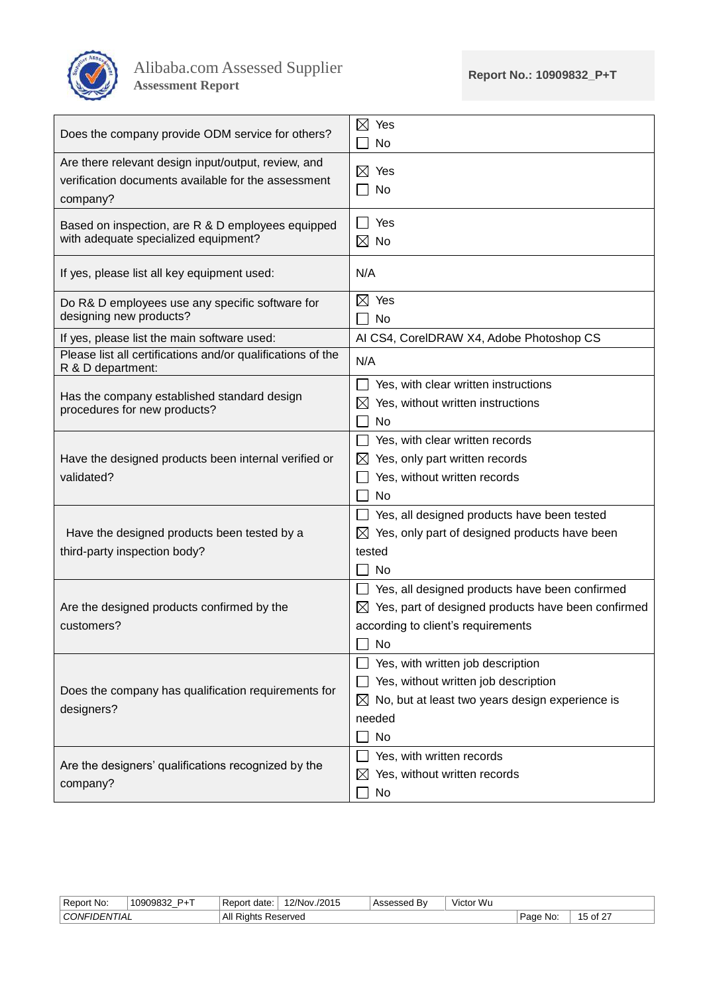

| Does the company provide ODM service for others?                                                                       | $\boxtimes$<br>Yes<br>No                                       |
|------------------------------------------------------------------------------------------------------------------------|----------------------------------------------------------------|
| Are there relevant design input/output, review, and<br>verification documents available for the assessment<br>company? | $\boxtimes$ Yes<br>No                                          |
| Based on inspection, are R & D employees equipped<br>with adequate specialized equipment?                              | $\Box$ Yes<br>$\boxtimes$ No                                   |
| If yes, please list all key equipment used:                                                                            | N/A                                                            |
| Do R& D employees use any specific software for<br>designing new products?                                             | $\boxtimes$ Yes<br><b>No</b><br>$\blacksquare$                 |
| If yes, please list the main software used:                                                                            | AI CS4, CorelDRAW X4, Adobe Photoshop CS                       |
| Please list all certifications and/or qualifications of the<br>R & D department:                                       | N/A                                                            |
|                                                                                                                        | Yes, with clear written instructions                           |
| Has the company established standard design<br>procedures for new products?                                            | Yes, without written instructions<br>$\boxtimes$               |
|                                                                                                                        | <b>No</b>                                                      |
|                                                                                                                        | Yes, with clear written records                                |
| Have the designed products been internal verified or                                                                   | Yes, only part written records<br>$\bowtie$                    |
| validated?                                                                                                             | Yes, without written records                                   |
|                                                                                                                        | No                                                             |
|                                                                                                                        | Yes, all designed products have been tested                    |
| Have the designed products been tested by a                                                                            | Yes, only part of designed products have been<br>$\boxtimes$   |
| third-party inspection body?                                                                                           | tested                                                         |
|                                                                                                                        | <b>No</b>                                                      |
|                                                                                                                        | Yes, all designed products have been confirmed                 |
| Are the designed products confirmed by the                                                                             | $\boxtimes$ Yes, part of designed products have been confirmed |
| customers?                                                                                                             | according to client's requirements                             |
|                                                                                                                        | $\Box$ No                                                      |
|                                                                                                                        | Yes, with written job description                              |
| Does the company has qualification requirements for                                                                    | Yes, without written job description                           |
| designers?                                                                                                             | No, but at least two years design experience is<br>$\boxtimes$ |
|                                                                                                                        | needed                                                         |
|                                                                                                                        | No                                                             |
| Are the designers' qualifications recognized by the                                                                    | Yes, with written records                                      |
| company?                                                                                                               | Yes, without written records<br>$\boxtimes$                    |
|                                                                                                                        | No                                                             |

|           | . .<br>-<br>No:<br>' Report .                                  | <b>D</b> <sub>+</sub> T<br>1000083<br>- | date:<br>۱nr<br>' Reu | $'2/Nov$ .<br>/2015 | B١<br>- 2000 | $\cdots$<br>$\cdot$ $\cdot$<br>. vvu<br>Victor |                    |  |
|-----------|----------------------------------------------------------------|-----------------------------------------|-----------------------|---------------------|--------------|------------------------------------------------|--------------------|--|
| au<br>. . | ΔII<br>CONFIL<br>Reserved<br>I IAL<br>Rights<br>$J=IV$<br>All. |                                         |                       |                     |              | No:<br>Poor                                    | $\cdot$ . of $2^-$ |  |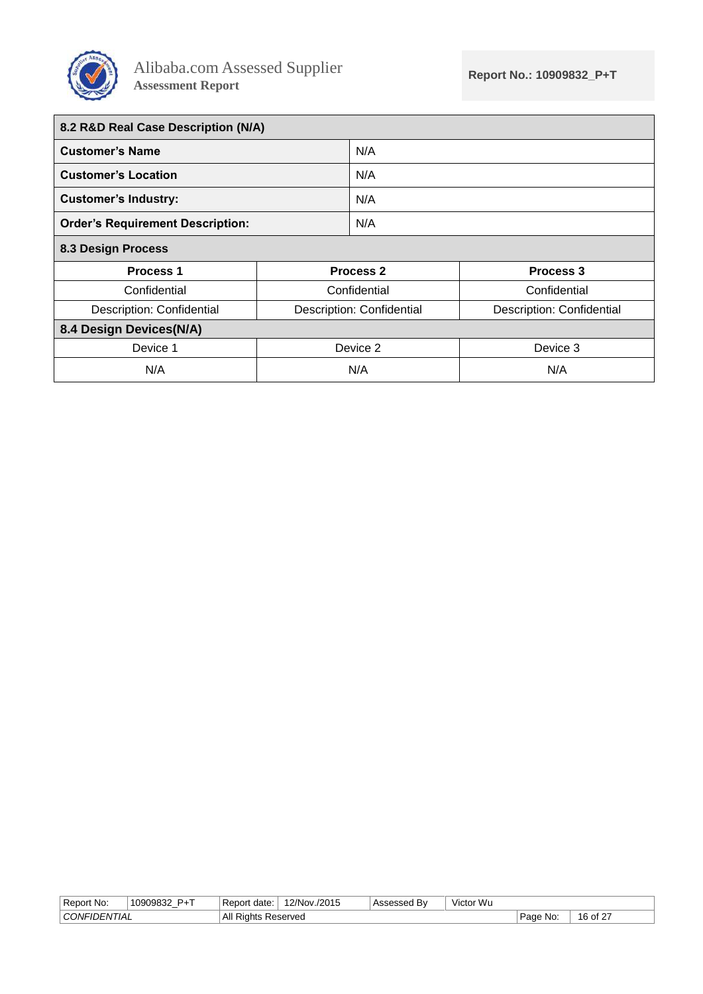

<span id="page-15-2"></span><span id="page-15-1"></span><span id="page-15-0"></span>

| 8.2 R&D Real Case Description (N/A)     |                           |                      |                           |
|-----------------------------------------|---------------------------|----------------------|---------------------------|
| <b>Customer's Name</b>                  |                           | N/A                  |                           |
| <b>Customer's Location</b>              |                           | N/A                  |                           |
| <b>Customer's Industry:</b>             |                           | N/A                  |                           |
| <b>Order's Requirement Description:</b> |                           | N/A                  |                           |
| <b>8.3 Design Process</b>               |                           |                      |                           |
| <b>Process 1</b>                        |                           | Process <sub>2</sub> | Process <sub>3</sub>      |
| Confidential                            | Confidential              |                      | Confidential              |
| Description: Confidential               | Description: Confidential |                      | Description: Confidential |
| 8.4 Design Devices(N/A)                 |                           |                      |                           |
| Device 1                                |                           | Device 2             | Device 3                  |
| N/A                                     |                           | N/A                  | N/A                       |

| Report No:     | $P+T$<br>10909832 | Report<br>date: | 12/Nov./2015 | Bv<br>500GU | Victor Wu |             |               |
|----------------|-------------------|-----------------|--------------|-------------|-----------|-------------|---------------|
| ' CONFIDENTIAL |                   | All<br>Rights   | Reserved     |             |           | Page<br>No: | of 27 ر<br>16 |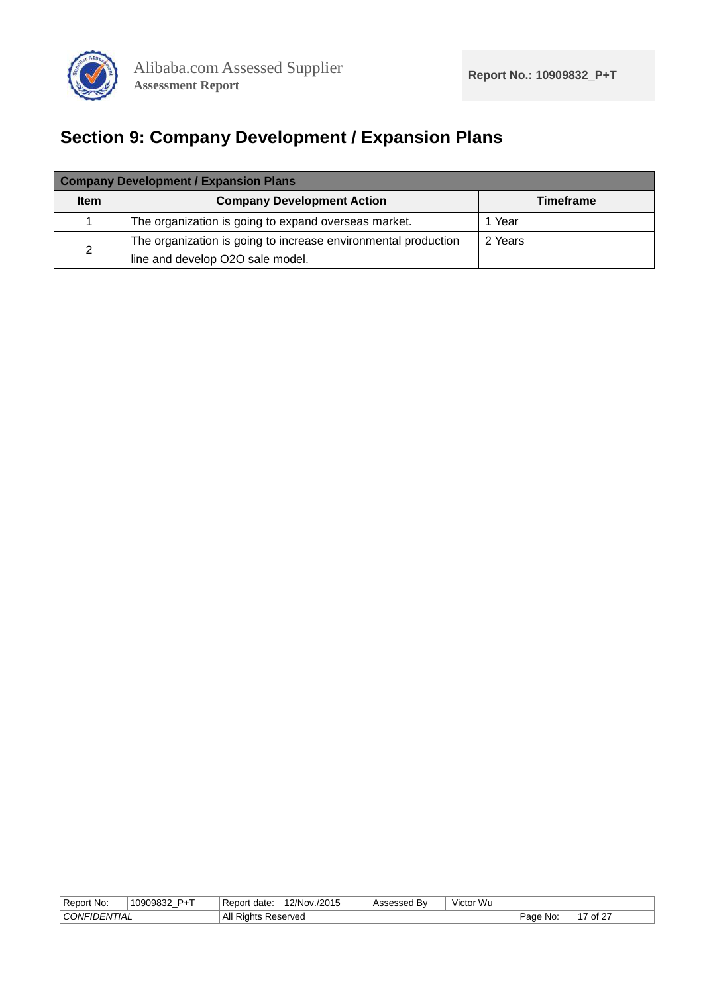

# <span id="page-16-0"></span>**Section 9: Company Development / Expansion Plans**

|                | <b>Company Development / Expansion Plans</b>                   |                  |  |  |  |  |  |  |  |  |
|----------------|----------------------------------------------------------------|------------------|--|--|--|--|--|--|--|--|
| <b>Item</b>    | <b>Company Development Action</b>                              | <b>Timeframe</b> |  |  |  |  |  |  |  |  |
|                | The organization is going to expand overseas market.           | 1 Year           |  |  |  |  |  |  |  |  |
|                | The organization is going to increase environmental production | 2 Years          |  |  |  |  |  |  |  |  |
| $\overline{2}$ | line and develop O2O sale model.                               |                  |  |  |  |  |  |  |  |  |

| CONFIL<br>All<br>$.7 \text{ of } 2^-$<br>No:<br>Reserved<br>-IDENTIAL<br>. Page<br>Rights<br>∼ | Report<br>No: | <b>D</b> <sub>+</sub> T<br>ി 1∩9∩983^<br>౦ఎ∠ | Report<br>date: | '2/Nov.<br>/2015 | . Bv | $\cdots$<br>Victor<br>∵Wu |  |
|------------------------------------------------------------------------------------------------|---------------|----------------------------------------------|-----------------|------------------|------|---------------------------|--|
|                                                                                                |               |                                              |                 |                  |      |                           |  |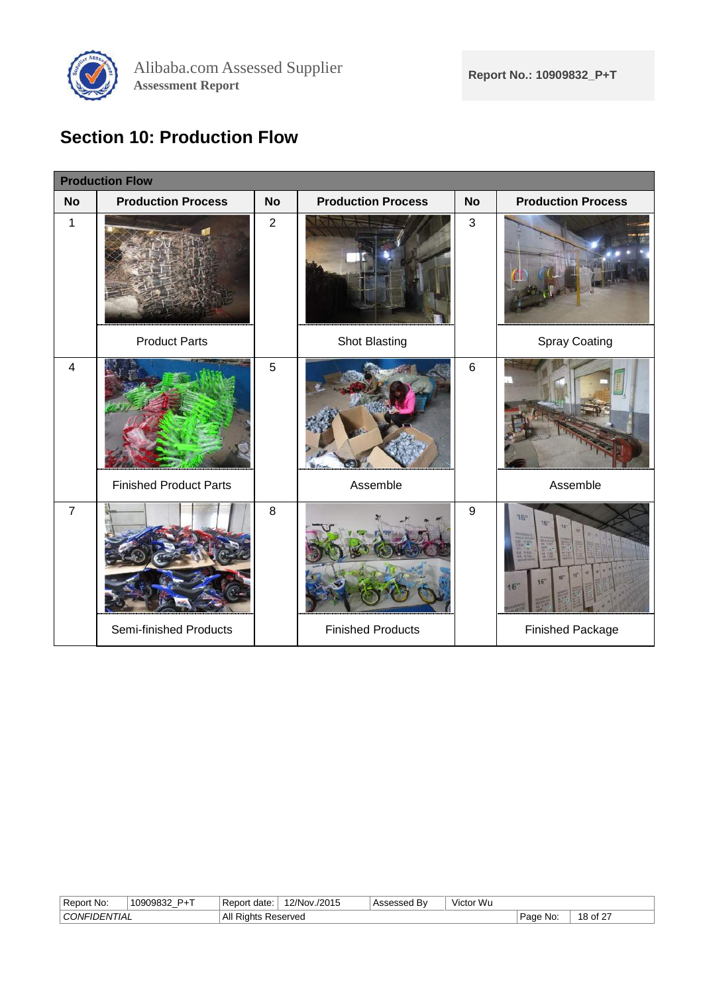

# <span id="page-17-0"></span>**Section 10: Production Flow**

|                         | <b>Production Flow</b>        |                |                           |                  |                               |
|-------------------------|-------------------------------|----------------|---------------------------|------------------|-------------------------------|
| <b>No</b>               | <b>Production Process</b>     | <b>No</b>      | <b>Production Process</b> | <b>No</b>        | <b>Production Process</b>     |
| 1                       |                               | $\overline{2}$ |                           | $\mathfrak{S}$   |                               |
|                         | <b>Product Parts</b>          |                | Shot Blasting             |                  | Spray Coating                 |
| $\overline{\mathbf{4}}$ |                               | 5              |                           | 6                |                               |
|                         | <b>Finished Product Parts</b> |                | Assemble                  |                  | Assemble                      |
| $\overline{7}$          |                               | 8              |                           | $\boldsymbol{9}$ | 18"<br><b>KG</b><br>16<br>16' |
|                         | Semi-finished Products        |                | <b>Finished Products</b>  |                  | Finished Package              |

| Rer<br>Νo<br>nn.                                                        | <b>P</b> <sub>+</sub> T<br>1 NANAR 32<br>いいいと<br>- | date:<br>Ωľ | 2/Nov<br>/2015 | Bv | $\cdots$<br>$\cdots$<br>Victor Wu |                      |  |
|-------------------------------------------------------------------------|----------------------------------------------------|-------------|----------------|----|-----------------------------------|----------------------|--|
| ΔII<br>-<br>≺eserved<br>∋N⊩⊔<br>Rights<br>HAL<br>$1 - N1$<br>All.<br>__ |                                                    |             |                |    | <b>Unne</b><br>No:<br>aue         | $\sim$<br>. of<br>ັບ |  |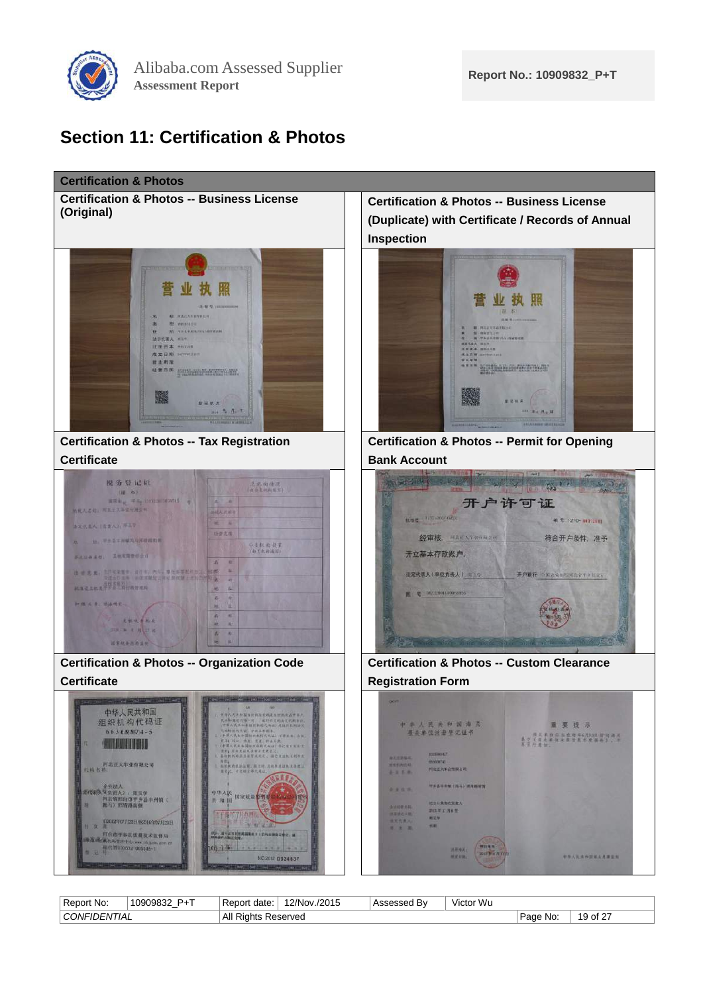

### <span id="page-18-0"></span>**Section 11: Certification & Photos**



| . .<br>_<br>Report No:  | $D \cdot T$<br>10909832 | : Report<br>date: | 12/Nov./2015   | B١<br>000000<br>aacu | .<br>. Wu<br>v/ictor<br>тсю |                                      |                          |
|-------------------------|-------------------------|-------------------|----------------|----------------------|-----------------------------|--------------------------------------|--------------------------|
| וואמ<br><i>"JENIIAL</i> |                         | ΑIΙ<br>Riahts     | Reserved<br>__ |                      |                             | <b>D</b> ane<br>No:<br>aue<br>$\sim$ | $\sim$ of $27$<br>u<br>ີ |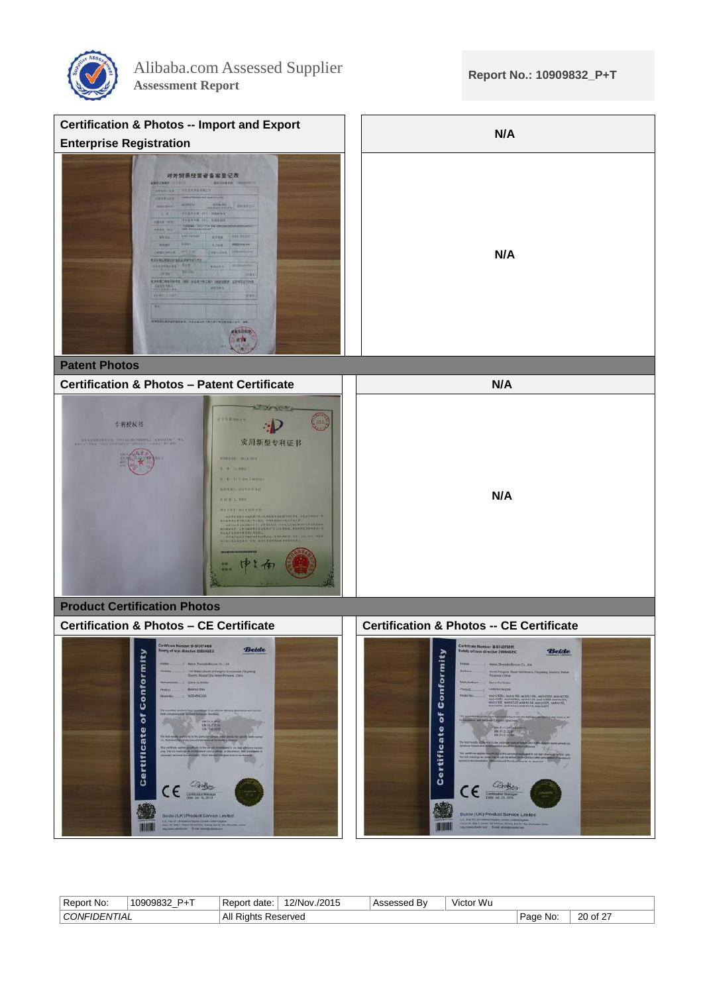



| No:<br>nr.<br>Re.      | <b>D</b> <sub>+</sub> T<br>10000827<br>$\cdots$ | date<br>Ret       | /2015<br><b>2/Nov</b> | - ⊷<br>. D.V | $\cdots$<br>Wu<br>Victo |                   |                          |
|------------------------|-------------------------------------------------|-------------------|-----------------------|--------------|-------------------------|-------------------|--------------------------|
| $_{\text{M}}$<br>' IAL |                                                 | All<br>Riar<br>טו | Reserved              |              |                         | No:<br>، ص<br>auc | $\sim$<br>20<br>οf<br>__ |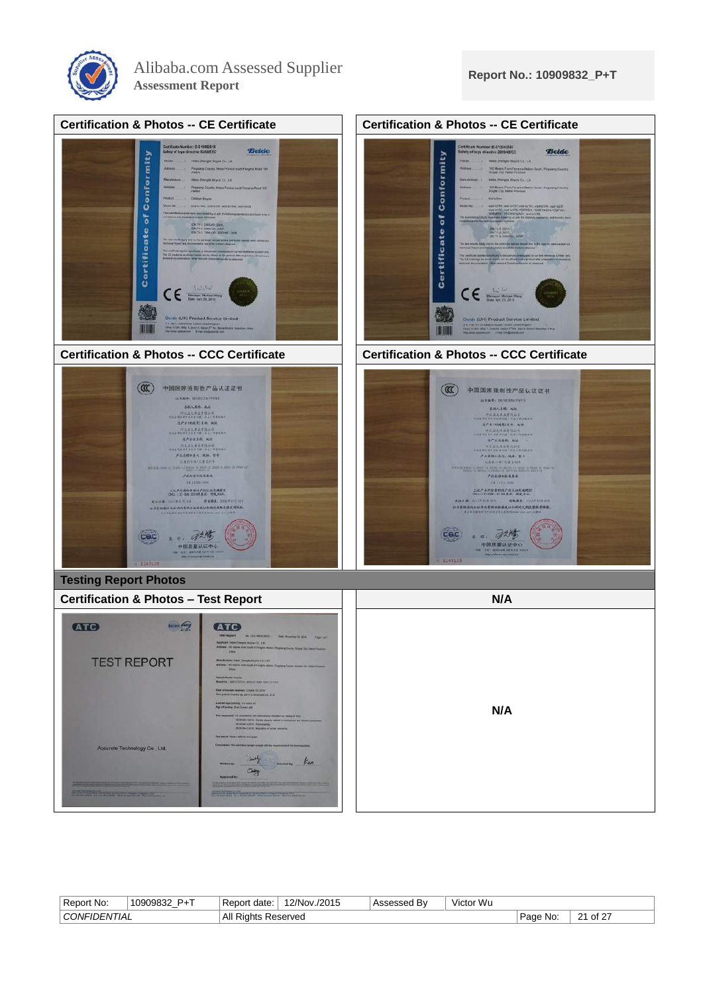



| Report No:   | $P+T$<br>10909832 | ' Report<br>date: | 12/Nov./2015 | . Bv<br>'Assesseg | $\cdots$<br>Victor Wu |             |         |
|--------------|-------------------|-------------------|--------------|-------------------|-----------------------|-------------|---------|
| CONFIDENTIAL |                   | All<br>Riahts     | Reserved     |                   |                       | Page<br>No. | of $27$ |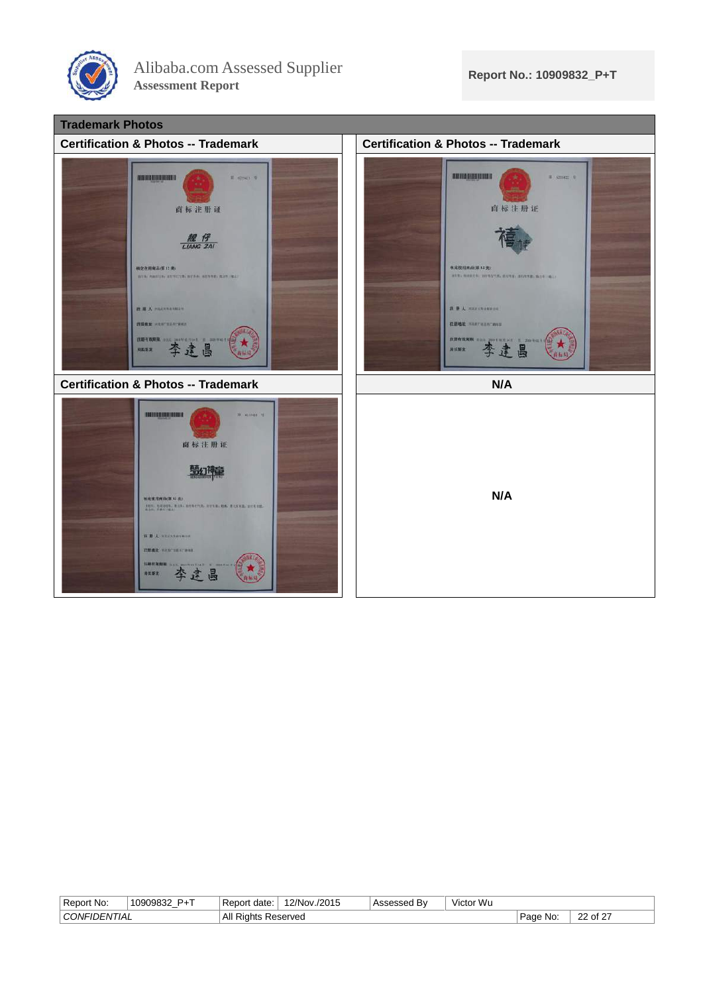



| Renor.<br>rt No:<br>Rer                 | -<br>ി വാഗ്ദമാ<br>D. | Ret<br>date:<br>or    | /2015<br>'2/Nov | $\sim$ $\sim$ $\sim$ $\sim$ $\sim$<br>.<br><b>BV</b> | $\cdots$<br>Wu<br>Vict <sup>r</sup> |                    |                      |
|-----------------------------------------|----------------------|-----------------------|-----------------|------------------------------------------------------|-------------------------------------|--------------------|----------------------|
| $\sim$<br>IА<br>$_{\text{M}}$<br>$J-NI$ |                      | All<br>: Right<br>. . | eserved?        |                                                      |                                     | No:<br>1000<br>aut | . of $2^7$<br>$\sim$ |
|                                         |                      |                       |                 |                                                      |                                     |                    |                      |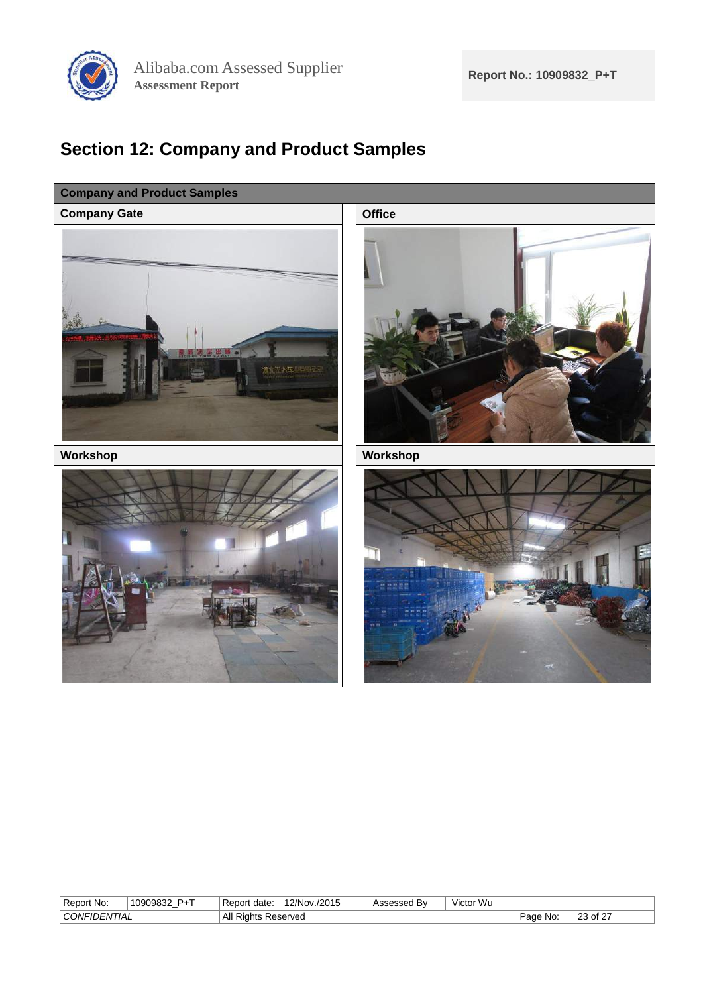

# <span id="page-22-0"></span>**Section 12: Company and Product Samples**



| -<br><b>No</b><br>Renor'                                | <b>P</b> <sub>+</sub> T<br>ി∩Q∩QR3^<br>ື<br>- | date<br>н н<br>ne. | /2015<br>2/Nov | $\cdots$<br>BV | $\cdots$<br>$\cdots$<br>. Wu<br>Victor |                 |                               |
|---------------------------------------------------------|-----------------------------------------------|--------------------|----------------|----------------|----------------------------------------|-----------------|-------------------------------|
| $\cap$ $\cap$ $\cap$ $\cup$ $\ldots$<br>HAL<br>ו ורו–וו |                                               | All<br>Rights<br>. | Reserved       |                |                                        | No<br>ലഹ<br>auc | $\sim$<br>nn<br>∵of<br>$\sim$ |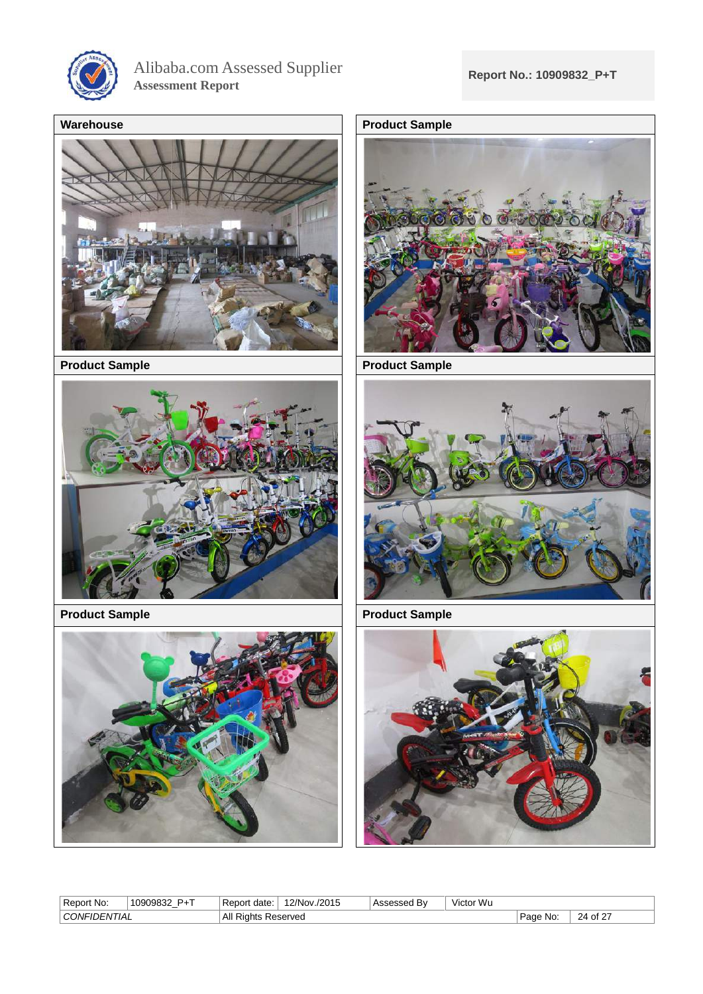

Alibaba.com Assessed Supplier **Assessment Report**



**Product Sample Product Sample** 



**Product Sample Product Sample** 









| Ð<br>. Repor<br>No | . המ".<br>10909832<br>$\overline{\phantom{a}}$ | Repor<br>date | /2015<br>ີ <sup>ດ</sup> /Nov<br>$\overline{\phantom{a}}$ | .<br>$-0.000$<br>n v | $\cdot$<br>.<br>r Wu<br>Victor |                   |                    |
|--------------------|------------------------------------------------|---------------|----------------------------------------------------------|----------------------|--------------------------------|-------------------|--------------------|
| ΠA<br>יומנ<br>ж.   |                                                | Αll<br>. NR   | くeserved                                                 |                      |                                | No:<br>auc<br>___ | $\sim$<br>DΔ<br>^+ |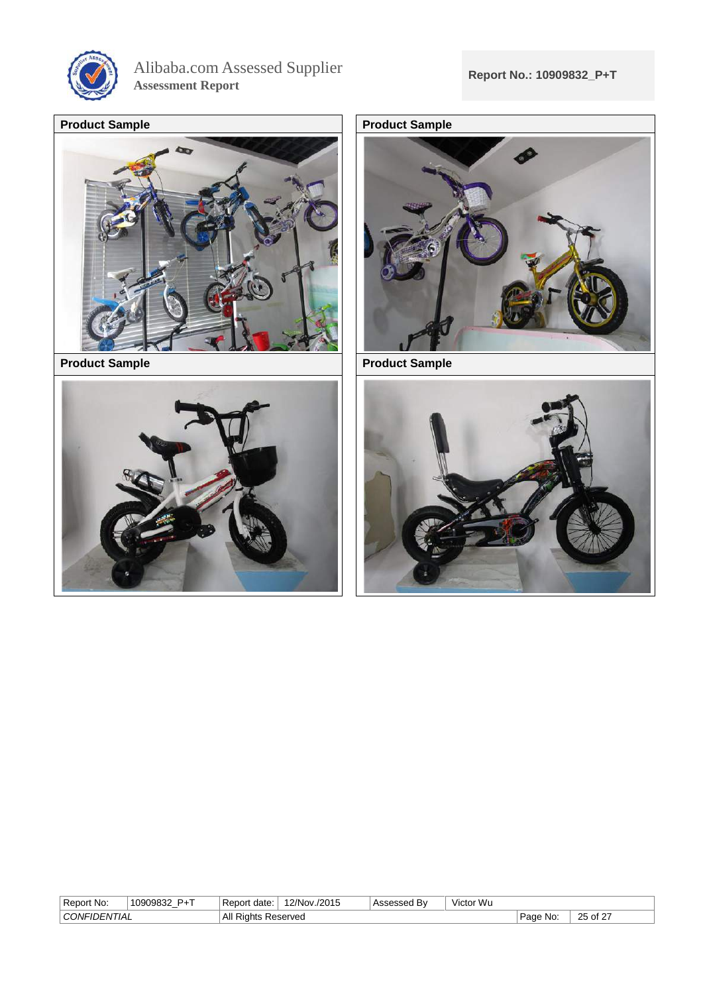

Alibaba.com Assessed Supplier **Assessment Report**







**Product Sample Product Sample** 



| Report No:                                                           | $\sim$<br>1000083<br>ິ<br>ວບວບວ∠<br>- | -<br>: Repor<br>date: | 2/Nov<br>/2015 | Bv<br>Assesseo | Victor Wu |                    |                            |
|----------------------------------------------------------------------|---------------------------------------|-----------------------|----------------|----------------|-----------|--------------------|----------------------------|
| $\cap$ $\cap$ $\cap$ $\cup$ $\ldots$<br>'I IAL<br><sub>I</sub> DEN I |                                       | All<br>ושור           | Reserved       |                |           | 0.22<br>No:<br>aut | .ు of 2ె<br>つに<br>້<br>. . |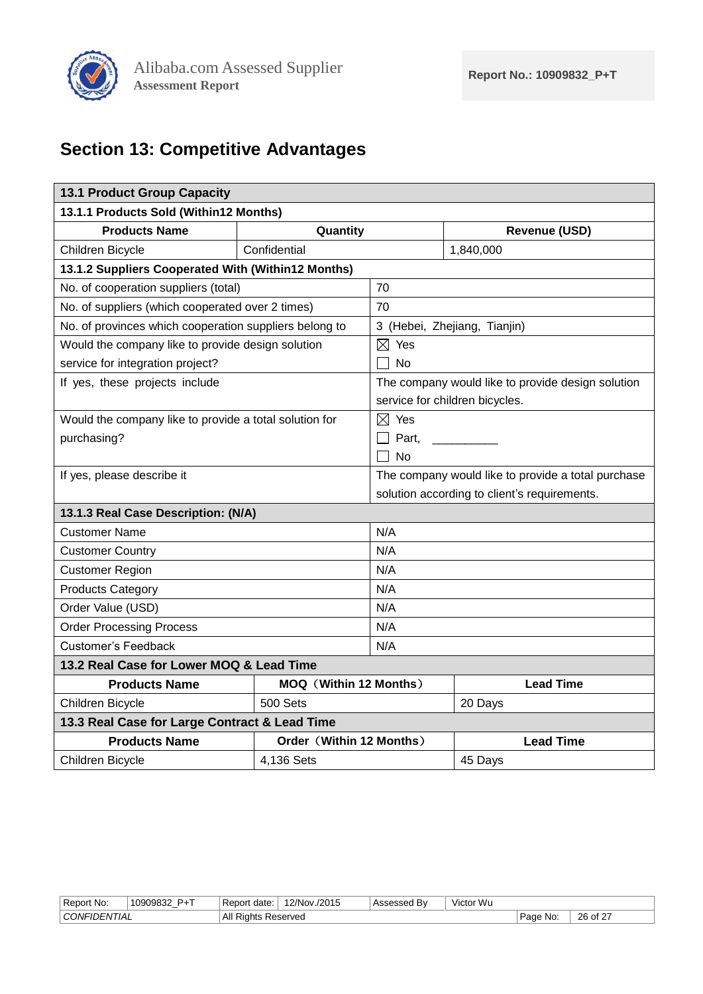

# <span id="page-25-0"></span>**Section 13: Competitive Advantages**

<span id="page-25-1"></span>

| <b>13.1 Product Group Capacity</b>                     |                               |                                                   |                                                    |  |  |
|--------------------------------------------------------|-------------------------------|---------------------------------------------------|----------------------------------------------------|--|--|
| 13.1.1 Products Sold (Within12 Months)                 |                               |                                                   |                                                    |  |  |
| <b>Products Name</b>                                   | Quantity                      |                                                   | <b>Revenue (USD)</b>                               |  |  |
| Children Bicycle                                       | Confidential                  |                                                   | 1,840,000                                          |  |  |
| 13.1.2 Suppliers Cooperated With (Within12 Months)     |                               |                                                   |                                                    |  |  |
| No. of cooperation suppliers (total)                   |                               | 70                                                |                                                    |  |  |
| No. of suppliers (which cooperated over 2 times)       |                               | 70                                                |                                                    |  |  |
| No. of provinces which cooperation suppliers belong to |                               |                                                   | 3 (Hebei, Zhejiang, Tianjin)                       |  |  |
| Would the company like to provide design solution      |                               | $\boxtimes$ Yes                                   |                                                    |  |  |
| service for integration project?                       |                               | No                                                |                                                    |  |  |
| If yes, these projects include                         |                               | The company would like to provide design solution |                                                    |  |  |
|                                                        |                               | service for children bicycles.                    |                                                    |  |  |
| Would the company like to provide a total solution for |                               | $\boxtimes$ Yes                                   |                                                    |  |  |
| purchasing?                                            |                               | Part,                                             |                                                    |  |  |
|                                                        |                               | <b>No</b>                                         |                                                    |  |  |
| If yes, please describe it                             |                               |                                                   | The company would like to provide a total purchase |  |  |
|                                                        |                               |                                                   | solution according to client's requirements.       |  |  |
| 13.1.3 Real Case Description: (N/A)                    |                               |                                                   |                                                    |  |  |
| <b>Customer Name</b>                                   |                               | N/A                                               |                                                    |  |  |
| <b>Customer Country</b>                                |                               | N/A                                               |                                                    |  |  |
| <b>Customer Region</b>                                 |                               | N/A                                               |                                                    |  |  |
| <b>Products Category</b>                               |                               | N/A                                               |                                                    |  |  |
| Order Value (USD)                                      |                               | N/A                                               |                                                    |  |  |
| <b>Order Processing Process</b>                        |                               | N/A                                               |                                                    |  |  |
| <b>Customer's Feedback</b>                             |                               |                                                   | N/A                                                |  |  |
| 13.2 Real Case for Lower MOQ & Lead Time               |                               |                                                   |                                                    |  |  |
| <b>Products Name</b>                                   | <b>MOQ (Within 12 Months)</b> |                                                   | <b>Lead Time</b>                                   |  |  |
| Children Bicycle                                       | 500 Sets                      |                                                   | 20 Days                                            |  |  |
| 13.3 Real Case for Large Contract & Lead Time          |                               |                                                   |                                                    |  |  |
| <b>Products Name</b>                                   | Order (Within 12 Months)      |                                                   | <b>Lead Time</b>                                   |  |  |
| Children Bicycle                                       | 4,136 Sets                    |                                                   | 45 Days                                            |  |  |

<span id="page-25-4"></span><span id="page-25-3"></span><span id="page-25-2"></span>

| Report No:               | D.T<br>1090983 | date:<br>or                                       | /./2015<br>'2/Nov. | 0.000<br>Bv | Victor Wu |                              |                  |
|--------------------------|----------------|---------------------------------------------------|--------------------|-------------|-----------|------------------------------|------------------|
| CONFIL<br><i>"JENHAL</i> |                | ΔII<br>$\overline{\phantom{0}}$<br>Riahts<br>Ali. | Reserved<br>.      |             |           | No<br>$D \cap \cap C$<br>auc | .<br>26 or<br>__ |